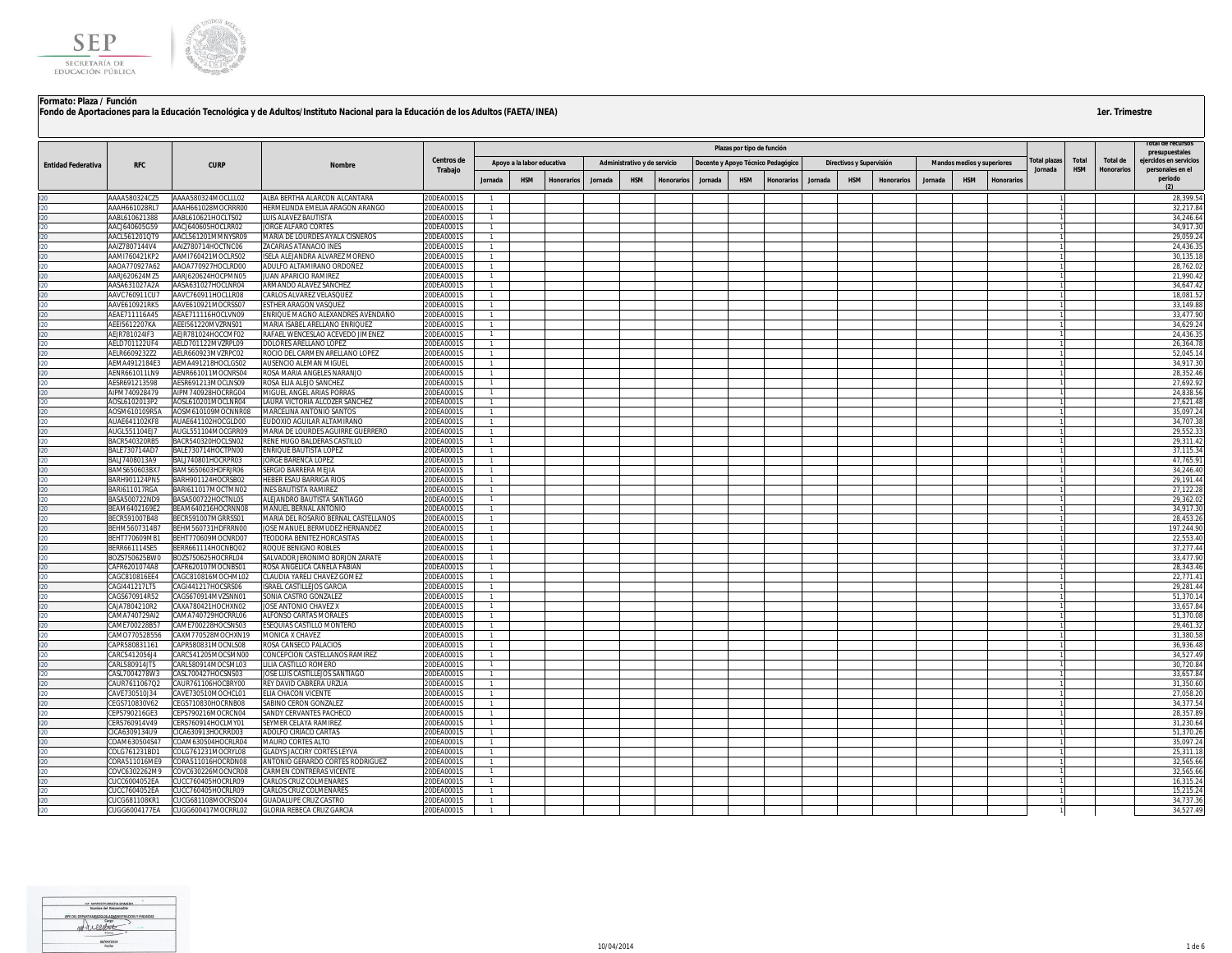

|                           |                                |                                          |                                                           |                          |                |                            |            |         |                              |            |                                    |                            |            |         |                          |            |         |                                   |                   |                        |                     |                               | LOTAL DE L'EGELISOS                        |
|---------------------------|--------------------------------|------------------------------------------|-----------------------------------------------------------|--------------------------|----------------|----------------------------|------------|---------|------------------------------|------------|------------------------------------|----------------------------|------------|---------|--------------------------|------------|---------|-----------------------------------|-------------------|------------------------|---------------------|-------------------------------|--------------------------------------------|
|                           |                                |                                          |                                                           |                          |                |                            |            |         |                              |            |                                    | Plazas por tipo de función |            |         |                          |            |         |                                   |                   |                        |                     |                               | presupuestales                             |
| <b>Entidad Federativa</b> | <b>RFC</b>                     | <b>CURP</b>                              | <b>Nombre</b>                                             | Centros de<br>Trabajo    |                | Apoyo a la labor educativa |            |         | Administrativo y de servicio |            | Docente y Apoyo Técnico Pedagógico |                            |            |         | Directivos y Supervisión |            |         | <b>Mandos medios y superiores</b> |                   | otal plazas<br>Jornada | Total<br><b>HSM</b> | Total de<br><b>Honorarios</b> | eiercidos en servicios<br>personales en el |
|                           |                                |                                          |                                                           |                          | Jornada        | <b>HSM</b>                 | Honorarios | Jornada | <b>HSM</b>                   | Honorarios | Jornada                            | <b>HSM</b>                 | Honorarios | Jornada | <b>HSM</b>               | Honorarios | Jornada | <b>HSM</b>                        | <b>Honorarios</b> |                        |                     |                               | periodo                                    |
|                           | AAAA580324CZ5                  | AAAA580324MOCLLL02                       | ALBA BERTHA ALARCON ALCANTARA                             | 20DEA0001S               |                |                            |            |         |                              |            |                                    |                            |            |         |                          |            |         |                                   |                   |                        |                     |                               | 28,399.54                                  |
|                           | AAAH661028RL7                  | AAAH661028MOCRRR00                       | HERMELINDA EMELIA ARAGON ARANGO                           | 20DEA0001S               |                |                            |            |         |                              |            |                                    |                            |            |         |                          |            |         |                                   |                   |                        |                     |                               | 32.217.8                                   |
|                           | AABL610621388                  | AABL610621HOCLTS02                       | <b>LUIS ALAVEZ BAUTISTA</b>                               | 20DEA0001S               |                |                            |            |         |                              |            |                                    |                            |            |         |                          |            |         |                                   |                   |                        |                     |                               | 34.246.6                                   |
|                           | AACJ640605G59                  | AACJ640605HOCLRR02                       | <b>JORGE ALFARO CORTES</b>                                | 20DEA0001S               | $\mathbf{1}$   |                            |            |         |                              |            |                                    |                            |            |         |                          |            |         |                                   |                   |                        |                     |                               | 34,917.30                                  |
|                           | AACL561201QT9                  | AACL561201MMNYSR09                       | MARIA DE LOURDES AYALA CISNEROS                           | 20DEA0001S               |                |                            |            |         |                              |            |                                    |                            |            |         |                          |            |         |                                   |                   |                        |                     |                               | 29,059.24                                  |
|                           | AAIZ7807144V4                  | AAIZ780714HOCTNC06                       | ZACARIAS ATANACIO INES                                    | 20DEA0001S               |                |                            |            |         |                              |            |                                    |                            |            |         |                          |            |         |                                   |                   |                        |                     |                               | 24,436.35                                  |
|                           | AAMI760421KP2                  | AAMI760421MOCLRS02                       | ISELA ALEJANDRA ALVAREZ MORENO                            | 20DEA0001S               | $\mathbf{1}$   |                            |            |         |                              |            |                                    |                            |            |         |                          |            |         |                                   |                   |                        |                     |                               | 30,135.1                                   |
|                           | AAOA770927A62<br>AARJ620624MZ5 | AAOA770927HOCLRD00<br>AARJ620624HOCPMN05 | ADULFO ALTAMIRANO ORDOÑEZ<br>JUAN APARICIO RAMIREZ        | 20DEA0001S<br>20DEA0001S | $\mathbf{1}$   |                            |            |         |                              |            |                                    |                            |            |         |                          |            |         |                                   |                   |                        |                     |                               | 28,762.02<br>21,990.42                     |
|                           | AASA631027A2A                  | AASA631027HOCLNR04                       | ARMANDO ALAVEZ SANCHEZ                                    | 20DEA0001S               |                |                            |            |         |                              |            |                                    |                            |            |         |                          |            |         |                                   |                   |                        |                     |                               | 34.647.4                                   |
|                           | AAVC760911CU7                  | AAVC760911HOCLLR08                       | CARLOS ALVAREZ VELASQUEZ                                  | 20DEA0001S               |                |                            |            |         |                              |            |                                    |                            |            |         |                          |            |         |                                   |                   |                        |                     |                               | 18.081.5                                   |
|                           | AAVE610921RK5                  | AAVE610921MOCRSS07                       | ESTHER ARAGON VASQUEZ                                     | 20DEA0001S               |                |                            |            |         |                              |            |                                    |                            |            |         |                          |            |         |                                   |                   |                        |                     |                               | 33,149.8                                   |
|                           | AEAE711116A45                  | AEAE711116HOCLVN09                       | ENRIQUE MAGNO ALEXANDRES AVENDAÑO                         | 20DEA0001S               |                |                            |            |         |                              |            |                                    |                            |            |         |                          |            |         |                                   |                   |                        |                     |                               | 33,477.90                                  |
|                           | AEEI5612207KA                  | AEEI561220MVZRNS01                       | MARIA ISABEL ARELLANO ENRIQUEZ                            | 20DEA0001S               |                |                            |            |         |                              |            |                                    |                            |            |         |                          |            |         |                                   |                   |                        |                     |                               | 34,629.2                                   |
|                           | AEJR781024IF3                  | AEJR781024HOCCMF02                       | RAFAEL WENCESLAO ACEVEDO JIMENEZ                          | 20DEA0001S               | $\mathbf{1}$   |                            |            |         |                              |            |                                    |                            |            |         |                          |            |         |                                   |                   |                        |                     |                               | 24.436.3                                   |
|                           | AELD701122UF4                  | AELD701122MVZRPL09                       | DOLORES ARELLANO LOPEZ                                    | 20DEA0001S               | $\overline{1}$ |                            |            |         |                              |            |                                    |                            |            |         |                          |            |         |                                   |                   |                        |                     |                               | 26.364.78                                  |
|                           | AELR6609232Z2<br>AEMA4912184E3 | AELR660923MVZRPC02<br>AEMA491218HOCLGS02 | ROCIO DEL CARMEN ARELLANO LOPEZ<br>AUSENCIO ALEMAN MIGUEL | 20DEA0001S<br>20DEA0001S |                |                            |            |         |                              |            |                                    |                            |            |         |                          |            |         |                                   |                   |                        |                     |                               | 52,045.14<br>34.917.3                      |
|                           | AENR661011LN9                  | AENR661011MOCNRS04                       | ROSA MARIA ANGELES NARANJO                                | 20DEA0001S               |                |                            |            |         |                              |            |                                    |                            |            |         |                          |            |         |                                   |                   |                        |                     |                               | 28,352.46                                  |
|                           | AESR691213598                  | AESR691213MOCLNS09                       | ROSA ELIA ALEJO SANCHEZ                                   | 20DEA0001S               |                |                            |            |         |                              |            |                                    |                            |            |         |                          |            |         |                                   |                   |                        |                     |                               | 27,692.92                                  |
|                           | AIPM740928479                  | AIPM740928HOCRRG04                       | MIGUEL ANGEL ARIAS PORRAS                                 | 20DEA0001S               |                |                            |            |         |                              |            |                                    |                            |            |         |                          |            |         |                                   |                   |                        |                     |                               | 24,838.56                                  |
|                           | AOSL6102013P2                  | AOSL610201MOCLNR04                       | LAURA VICTORIA ALCOZER SANCHEZ                            | 20DEA0001S               |                |                            |            |         |                              |            |                                    |                            |            |         |                          |            |         |                                   |                   |                        |                     |                               | 27,621.48                                  |
|                           | AOSM610109R5A                  | AOSM610109MOCNNR08                       | MARCELINA ANTONIO SANTOS                                  | 20DEA0001S               |                |                            |            |         |                              |            |                                    |                            |            |         |                          |            |         |                                   |                   |                        |                     |                               | 35,097.24                                  |
|                           | <b>AUAE641102KF8</b>           | AUAE641102HOCGLD00                       | EUDOXIO AGUILAR ALTAMIRANO                                | 20DEA0001S               |                |                            |            |         |                              |            |                                    |                            |            |         |                          |            |         |                                   |                   |                        |                     |                               | 34,707.38                                  |
|                           | AUGL551104EJ7                  | AUGL551104MOCGRR09                       | MARIA DE LOURDES AGUIRRE GUERRERO                         | 20DEA0001S               |                |                            |            |         |                              |            |                                    |                            |            |         |                          |            |         |                                   |                   |                        |                     |                               | 29,552.3                                   |
|                           | BACR540320RB5                  | BACR540320HOCLSN02                       | RENE HUGO BALDERAS CASTILLO                               | 20DEA0001S               |                |                            |            |         |                              |            |                                    |                            |            |         |                          |            |         |                                   |                   |                        |                     |                               | 29.311.4                                   |
|                           | BALE730714AD7<br>BALJ7408013A9 | BALE730714HOCTPN00<br>BALJ740801HOCRPR03 | <b>ENRIQUE BAUTISTA LOPEZ</b><br>JORGE BARENCA LOPEZ      | 20DEA0001S<br>20DEA0001S | $\mathbf{1}$   |                            |            |         |                              |            |                                    |                            |            |         |                          |            |         |                                   |                   |                        |                     |                               | 37.115.3<br>47.765.9                       |
|                           | BAMS650603BX7                  | BAMS650603HDFRJR06                       | SERGIO BARRERA MEJIA                                      | 20DEA0001S               |                |                            |            |         |                              |            |                                    |                            |            |         |                          |            |         |                                   |                   |                        |                     |                               | 34,246.40                                  |
|                           | 3ARH901124PN5                  | BARH901124HOCRSB02                       | <b>IEBER ESAU BARRIGA RIOS</b>                            | 20DEA0001S               | $\mathbf{1}$   |                            |            |         |                              |            |                                    |                            |            |         |                          |            |         |                                   |                   |                        |                     |                               | 29,191.4                                   |
|                           | RARI611017RGA                  | RARI611017MOCTMN02                       | <b>INES BAUTISTA RAMIREZ</b>                              | 20DEA0001S               | -1             |                            |            |         |                              |            |                                    |                            |            |         |                          |            |         |                                   |                   |                        |                     |                               | 27.122.28                                  |
|                           | BASA500722ND9                  | BASA500722HOCTNL05                       | ALEJANDRO BAUTISTA SANTIAGO                               | 20DEA0001S               |                |                            |            |         |                              |            |                                    |                            |            |         |                          |            |         |                                   |                   |                        |                     |                               | 29,362.0                                   |
|                           | BEAM6402169E2                  | BEAM640216HOCRNN08                       | MANUEL BERNAL ANTONIO                                     | 20DEA0001S               |                |                            |            |         |                              |            |                                    |                            |            |         |                          |            |         |                                   |                   |                        |                     |                               | 34,917.30                                  |
|                           | BECR591007B48                  | BECR591007MGRRSS01                       | MARIA DEL ROSARIO BERNAL CASTELLANOS                      | 20DEA0001S               |                |                            |            |         |                              |            |                                    |                            |            |         |                          |            |         |                                   |                   |                        |                     |                               | 28.453.2                                   |
|                           | BEHM5607314B7                  | BEHM560731HDFRRN00                       | JOSE MANUEL BERMUDEZ HERNANDEZ                            | 20DEA0001S               |                |                            |            |         |                              |            |                                    |                            |            |         |                          |            |         |                                   |                   |                        |                     |                               | 197,244.90                                 |
|                           | BEHT770609MB1<br>BERR661114SE5 | BEHT770609MOCNRD07<br>BERR661114HOCNBO02 | TEODORA BENITEZ HORCASITAS<br>ROQUE BENIGNO ROBLES        | 20DEA0001S<br>20DEA0001S |                |                            |            |         |                              |            |                                    |                            |            |         |                          |            |         |                                   |                   |                        |                     |                               | 22,553.40<br>37,277.44                     |
|                           | BOZS750625BW0                  | BOZS750625HOCRRL04                       | SALVADOR JERONIMO BORJON ZARATE                           | 20DEA0001S               | $\mathbf{1}$   |                            |            |         |                              |            |                                    |                            |            |         |                          |            |         |                                   |                   |                        |                     |                               | 33,477.90                                  |
|                           | CAFR6201074A8                  | CAFR620107MOCNBS01                       | ROSA ANGELICA CANELA FABIAN                               | 20DEA0001S               | $\mathbf{1}$   |                            |            |         |                              |            |                                    |                            |            |         |                          |            |         |                                   |                   |                        |                     |                               | 28.343.46                                  |
|                           | CAGC810816EE4                  | CAGC810816MOCHML02                       | CLAUDIA YARELI CHAVEZ GOMEZ                               | 20DEA0001S               |                |                            |            |         |                              |            |                                    |                            |            |         |                          |            |         |                                   |                   |                        |                     |                               | 22,771.4                                   |
|                           | CAGI441217LT5                  | CAGI441217HOCSRS06                       | <b>ISRAEL CASTILLEJOS GARCIA</b>                          | 20DEA0001S               |                |                            |            |         |                              |            |                                    |                            |            |         |                          |            |         |                                   |                   |                        |                     |                               | 29,281.44                                  |
|                           | CAGS670914R52                  | CAGS670914MVZSNN01                       | SONIA CASTRO GONZALEZ                                     | 20DEA0001S               |                |                            |            |         |                              |            |                                    |                            |            |         |                          |            |         |                                   |                   |                        |                     |                               | 51.370.1                                   |
|                           | CAJA7804210R2                  | CAXA780421HOCHXN02                       | JOSE ANTONIO CHAVEZ X                                     | 20DEA0001S               |                |                            |            |         |                              |            |                                    |                            |            |         |                          |            |         |                                   |                   |                        |                     |                               | 33,657.8                                   |
|                           | CAMA740729AI2                  | CAMA740729HOCRRL06                       | ALFONSO CARTAS MORALES                                    | 20DEA0001S               |                |                            |            |         |                              |            |                                    |                            |            |         |                          |            |         |                                   |                   |                        |                     |                               | 51,370.0                                   |
|                           | AME700228B57<br>AM0770528556   | CAME700228HOCSNS03<br>CAXM770528MOCHXN19 | ESEQUIAS CASTILLO MONTERO<br>MONICA X CHAVEZ              | 20DEA0001S<br>20DEA0001S |                |                            |            |         |                              |            |                                    |                            |            |         |                          |            |         |                                   |                   |                        |                     |                               | 29,461.3<br>31.380.58                      |
|                           | CAPR580831161                  | CAPR580831MOCNLS08                       | ROSA CANSECO PALACIOS                                     | 20DEA0001S               | $\overline{1}$ |                            |            |         |                              |            |                                    |                            |            |         |                          |            |         |                                   |                   |                        |                     |                               | 36.936.48                                  |
|                           | CARC5412056J4                  | CARC541205MOCSMN00                       | CONCEPCION CASTELLANOS RAMIREZ                            | 20DEA0001S               |                |                            |            |         |                              |            |                                    |                            |            |         |                          |            |         |                                   |                   |                        |                     |                               | 34,527.49                                  |
|                           | CARL580914JT5                  | CARL580914MOCSML03                       | LILIA CASTILLO ROMERO                                     | 20DEA0001S               |                |                            |            |         |                              |            |                                    |                            |            |         |                          |            |         |                                   |                   |                        |                     |                               | 30,720.8                                   |
|                           | CASL7004278W3                  | CASL700427HOCSNS03                       | JOSE LUIS CASTILLEJOS SANTIAGO                            | 20DEA0001S               |                |                            |            |         |                              |            |                                    |                            |            |         |                          |            |         |                                   |                   |                        |                     |                               | 33,657.8                                   |
|                           | CAUR7611067Q2                  | CAUR761106HOCBRY00                       | REY DAVID CABRERA URZUA                                   | 20DEA0001S               |                |                            |            |         |                              |            |                                    |                            |            |         |                          |            |         |                                   |                   |                        |                     |                               | 31,350.60                                  |
|                           | CAVE730510J34                  | CAVE730510MOCHCL01                       | ELIA CHACON VICENTE                                       | 20DEA0001S               |                |                            |            |         |                              |            |                                    |                            |            |         |                          |            |         |                                   |                   |                        |                     |                               | 27,058.20                                  |
|                           | EGS710830V62                   | CEGS710830HOCRNB08                       | SABINO CERON GONZALEZ                                     | 20DEA0001S               |                |                            |            |         |                              |            |                                    |                            |            |         |                          |            |         |                                   |                   |                        |                     |                               | 34,377.5                                   |
|                           | EPS790216GE3<br>ERS760914V49   | CEPS790216MOCRCN04<br>CERS760914HOCLMY01 | SANDY CERVANTES PACHECO<br>SEYMER CELAYA RAMIREZ          | 20DEA0001S<br>20DEA0001S |                |                            |            |         |                              |            |                                    |                            |            |         |                          |            |         |                                   |                   |                        |                     |                               | 28,357.89<br>31.230.64                     |
|                           | CICA6309134U9                  | CICA630913HOCRRD03                       | ADOLFO CIRIACO CARTAS                                     | 20DEA0001S               |                |                            |            |         |                              |            |                                    |                            |            |         |                          |            |         |                                   |                   |                        |                     |                               | 51,370.2                                   |
|                           | COAM630504S47                  | COAM630504HOCRLR04                       | MAURO CORTES ALTO                                         | 20DEA0001S               |                |                            |            |         |                              |            |                                    |                            |            |         |                          |            |         |                                   |                   |                        |                     |                               | 35.097.2                                   |
|                           | OLG761231BD1                   | COLG761231MOCRYL08                       | <b>GLADYS JACCIRY CORTES LEYVA</b>                        | 20DEA0001S               |                |                            |            |         |                              |            |                                    |                            |            |         |                          |            |         |                                   |                   |                        |                     |                               | 25.311.1                                   |
|                           | CORA511016ME9                  | CORA511016HOCRDN08                       | ANTONIO GERARDO CORTES RODRIGUEZ                          | 20DEA0001S               |                |                            |            |         |                              |            |                                    |                            |            |         |                          |            |         |                                   |                   |                        |                     |                               | 32,565.66                                  |
|                           | OVC6302262M9                   | COVC630226MOCNCR08                       | CARMEN CONTRERAS VICENTE                                  | 20DEA0001S               |                |                            |            |         |                              |            |                                    |                            |            |         |                          |            |         |                                   |                   |                        |                     |                               | 32.565.66                                  |
|                           | UCC6004052EA                   | UCC760405HOCRLR09                        | ARLOS CRUZ COLMENARES                                     | 20DEA0001S               |                |                            |            |         |                              |            |                                    |                            |            |         |                          |            |         |                                   |                   |                        |                     |                               | 16,315.24                                  |
|                           | UCC7604052EA                   | CLICC760405HOCRLR09                      | CARLOS CRUZ COLMENARES                                    | 20DEA0001S               | $\overline{1}$ |                            |            |         |                              |            |                                    |                            |            |         |                          |            |         |                                   |                   |                        |                     |                               | 15.215.24                                  |
|                           | CUCG681108KR1                  | CUCG681108MOCRSD04                       | <b>GUADALUPE CRUZ CASTRO</b>                              | 20DEA0001S               |                |                            |            |         |                              |            |                                    |                            |            |         |                          |            |         |                                   |                   |                        |                     |                               | 34,737.36                                  |
|                           | CUGG6004177EA                  | CUGG600417MOCRRL02                       | <b>GLORIA REBECA CRUZ GARCIA</b>                          | 20DEA0001S               |                |                            |            |         |                              |            |                                    |                            |            |         |                          |            |         |                                   |                   |                        |                     |                               | 34,527.49                                  |

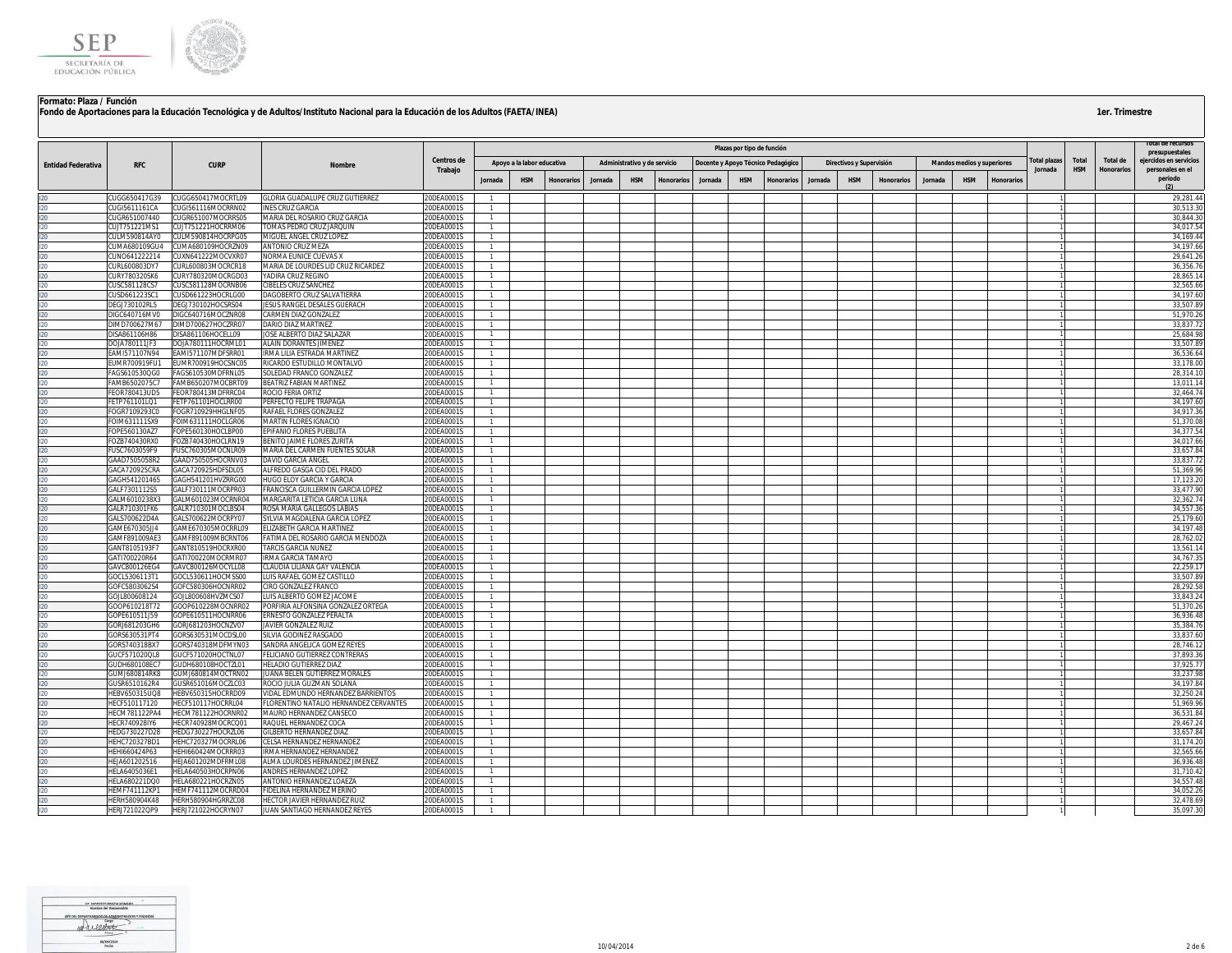

|                           |                                |                                          |                                                                            |                                |                                  |                            |            |         |                              |            |                                    |                            |                   |         |                          |                   |         |                                   |                   |             |            |                   | rotal de recursos           |
|---------------------------|--------------------------------|------------------------------------------|----------------------------------------------------------------------------|--------------------------------|----------------------------------|----------------------------|------------|---------|------------------------------|------------|------------------------------------|----------------------------|-------------------|---------|--------------------------|-------------------|---------|-----------------------------------|-------------------|-------------|------------|-------------------|-----------------------------|
|                           |                                |                                          |                                                                            |                                |                                  |                            |            |         |                              |            |                                    | Plazas por tipo de función |                   |         |                          |                   |         |                                   |                   |             |            |                   | presupuestales              |
| <b>Entidad Federativa</b> | <b>RFC</b>                     | <b>CURP</b>                              | <b>Nombre</b>                                                              | Centros de                     |                                  | Apoyo a la labor educativa |            |         | Administrativo y de servicio |            | Docente y Apoyo Técnico Pedagógico |                            |                   |         | Directivos y Supervisión |                   |         | <b>Mandos medios y superiores</b> |                   | otal plazas | Total      | Total de          | ejercidos en servicios      |
|                           |                                |                                          |                                                                            | Trabajo                        |                                  |                            |            |         |                              |            |                                    |                            |                   |         |                          |                   |         |                                   |                   | Jornada     | <b>HSM</b> | <b>Honorarios</b> | personales en el<br>periodo |
|                           |                                |                                          |                                                                            |                                | Jornada                          | <b>HSM</b>                 | Honorarios | Jornada | <b>HSM</b>                   | Honorarios | Jornada                            | <b>HSM</b>                 | <b>Honorarios</b> | Jornada | <b>HSM</b>               | <b>Honorarios</b> | Jornada | <b>HSM</b>                        | <b>Honorario:</b> |             |            |                   |                             |
|                           | CUGG650417G39                  | CUGG650417MOCRTL09                       | GLORIA GUADALUPE CRUZ GUTIERREZ                                            | 20DEA0001S                     |                                  |                            |            |         |                              |            |                                    |                            |                   |         |                          |                   |         |                                   |                   |             |            |                   | 29,281.44                   |
|                           | CUGI5611161CA                  | CUGI561116MOCRRN02                       | <b>INES CRUZ GARCIA</b>                                                    | 20DEA0001S                     | $\mathbf{1}$                     |                            |            |         |                              |            |                                    |                            |                   |         |                          |                   |         |                                   |                   |             |            |                   | 30.513.30                   |
|                           | CUGR651007440                  | CUGR651007MOCRRS05                       | MARIA DEL ROSARIO CRUZ GARCIA                                              | 0DEA0001S                      | $\overline{1}$                   |                            |            |         |                              |            |                                    |                            |                   |         |                          |                   |         |                                   |                   |             |            |                   | 30,844.30                   |
|                           | CUJT751221MS1                  | CUJT751221HOCRRM06                       | OMAS PEDRO CRUZ JARQUIN                                                    | <b>ODEA0001S</b>               | $\overline{1}$                   |                            |            |         |                              |            |                                    |                            |                   |         |                          |                   |         |                                   |                   |             |            |                   | 34,017.5                    |
|                           | CULM590814AY0                  | CULM590814HOCRPG05                       | MIGUEL ANGEL CRUZ LOPEZ                                                    | 20DEA0001S                     | $\overline{1}$                   |                            |            |         |                              |            |                                    |                            |                   |         |                          |                   |         |                                   |                   |             |            |                   | 34,169.44                   |
|                           | CUMA680109GU4                  | CUMA680109HOCRZN09                       | ANTONIO CRUZ MEZA                                                          | ODEA0001S                      | $\overline{1}$                   |                            |            |         |                              |            |                                    |                            |                   |         |                          |                   |         |                                   |                   |             |            |                   | 34,197.66                   |
|                           | <b>UNO641222214</b>            | CUXN641222MOCVXR07<br>CURL600803MOCRCR18 | NORMA EUNICE CUEVAS X                                                      | ODEA0001S<br>20DEA0001S        | $\overline{1}$                   |                            |            |         |                              |            |                                    |                            |                   |         |                          |                   |         |                                   |                   |             |            |                   | 29.641.26                   |
|                           | CURL600803DY7<br>CURY780320SK6 | CURY780320MOCRGD03                       | MARIA DE LOURDES LID CRUZ RICARDEZ<br>YADIRA CRUZ REGINO                   | 20DEA0001S                     | $\overline{1}$<br>$\overline{1}$ |                            |            |         |                              |            |                                    |                            |                   |         |                          |                   |         |                                   |                   |             |            |                   | 36,356.76<br>28,865.14      |
|                           | CUSC581128CS7                  | CUSC581128MOCRNB06                       | <b>CIBELES CRUZ SANCHEZ</b>                                                | 20DEA0001S                     | $\overline{1}$                   |                            |            |         |                              |            |                                    |                            |                   |         |                          |                   |         |                                   |                   |             |            |                   | 32,565.6                    |
|                           | CUSD661223SC1                  | CUSD661223HOCRLG00                       | DAGOBERTO CRUZ SALVATIERRA                                                 | 0DFA0001S                      | $\overline{1}$                   |                            |            |         |                              |            |                                    |                            |                   |         |                          |                   |         |                                   |                   |             |            |                   | 34.197.60                   |
|                           | DEGJ730102RL5                  | DEGJ730102HOCSRS04                       | ESUS RANGEL DESALES GUERACH                                                | 20DEA0001S                     | $\overline{1}$                   |                            |            |         |                              |            |                                    |                            |                   |         |                          |                   |         |                                   |                   |             |            |                   | 33,507.8                    |
|                           | DIGC640716MV0                  | DIGC640716MOCZNR08                       | CARMEN DIAZ GONZALEZ                                                       | ODEA0001S                      |                                  |                            |            |         |                              |            |                                    |                            |                   |         |                          |                   |         |                                   |                   |             |            |                   | 51,970.2                    |
|                           | DIMD700627M67                  | DIMD700627HOCZRR07                       | DARIO DIAZ MARTINEZ                                                        | 0DEA0001S                      | $\overline{1}$                   |                            |            |         |                              |            |                                    |                            |                   |         |                          |                   |         |                                   |                   |             |            |                   | 33.837.72                   |
|                           | DISA861106H86                  | DISA861106HOCELL09                       | JOSE ALBERTO DIAZ SALAZAR                                                  | <b>ODEA0001S</b>               | $\overline{1}$                   |                            |            |         |                              |            |                                    |                            |                   |         |                          |                   |         |                                   |                   |             |            |                   | 25.684.98                   |
|                           | DOJA780111JF3                  | DOJA780111HOCRML01                       | ALAIN DORANTES JIMENEZ                                                     | 20DEA0001S                     | $\overline{1}$                   |                            |            |         |                              |            |                                    |                            |                   |         |                          |                   |         |                                   |                   |             |            |                   | 33.507.89                   |
|                           | EAMI571107N94                  | EAMI571107MDFSRR01                       | RMA LILIA ESTRADA MARTINEZ                                                 | 20DEA0001S                     | $\overline{1}$                   |                            |            |         |                              |            |                                    |                            |                   |         |                          |                   |         |                                   |                   |             |            |                   | 36.536.64                   |
|                           | EUMR700919FU1                  | EUMR700919HOCSNC05                       | RICARDO ESTUDILLO MONTALVO                                                 | 0DEA0001S                      | $\overline{1}$<br>$\overline{1}$ |                            |            |         |                              |            |                                    |                            |                   |         |                          |                   |         |                                   |                   |             |            |                   | 33,178.00                   |
|                           | AGS610530QG0<br>FAMB6502075C7  | AGS610530MDFRNL05<br>FAMB650207MOCBRT09  | <b>SOLEDAD FRANCO GONZALEZ</b><br>BEATRIZ FABIAN MARTINEZ                  | <b>ODEA0001S</b><br>!ODEA0001S | $\overline{1}$                   |                            |            |         |                              |            |                                    |                            |                   |         |                          |                   |         |                                   |                   |             |            |                   | 28,314.10<br>13,011.14      |
|                           | EOR780413UD5                   | FEOR780413MDFRRC04                       | ROCIO FERIA ORTIZ                                                          | 0DEA0001S                      |                                  |                            |            |         |                              |            |                                    |                            |                   |         |                          |                   |         |                                   |                   |             |            |                   | 32,464.74                   |
|                           | FETP761101LQ1                  | FETP761101HOCLRR00                       | <b>PERFECTO FELIPE TRAPAGA</b>                                             | ODEA0001S                      | $\overline{1}$                   |                            |            |         |                              |            |                                    |                            |                   |         |                          |                   |         |                                   |                   |             |            |                   | 34,197.60                   |
|                           | FOGR7109293C0                  | FOGR710929HHGLNF05                       | RAFAEL FLORES GONZALEZ                                                     | 20DEA0001S                     | $\overline{1}$                   |                            |            |         |                              |            |                                    |                            |                   |         |                          |                   |         |                                   |                   |             |            |                   | 34,917.36                   |
|                           | FOIM631111SX9                  | FOIM631111HOCLGR06                       | MARTIN FLORES IGNACIO                                                      | 20DEA0001S                     | $\overline{1}$                   |                            |            |         |                              |            |                                    |                            |                   |         |                          |                   |         |                                   |                   |             |            |                   | 51,370.08                   |
|                           | FOPE560130AZ7                  | FOPE560130HOCLBP00                       | EPIFANIO FLORES PUEBLITA                                                   | 20DEA0001S                     | $\overline{1}$                   |                            |            |         |                              |            |                                    |                            |                   |         |                          |                   |         |                                   |                   |             |            |                   | 34,377.5                    |
|                           | FOZB740430RX0                  | FOZB740430HOCLRN19                       | BENITO JAIME FLORES ZURITA                                                 | 20DEA0001S                     | $\overline{1}$                   |                            |            |         |                              |            |                                    |                            |                   |         |                          |                   |         |                                   |                   |             |            |                   | 34,017.6                    |
|                           | FUSC7603059F9                  | FUSC760305MOCNLR09                       | MARIA DEL CARMEN FUENTES SOLAR                                             | 20DEA0001S                     | $\overline{1}$                   |                            |            |         |                              |            |                                    |                            |                   |         |                          |                   |         |                                   |                   |             |            |                   | 33,657.8                    |
|                           | GAAD7505058R2                  | GAAD750505HOCRNV03                       | DAVID GARCIA ANGEL                                                         | 20DEA0001S                     | $\overline{1}$                   |                            |            |         |                              |            |                                    |                            |                   |         |                          |                   |         |                                   |                   |             |            |                   | 33,837.7                    |
|                           | GACA720925CRA                  | GACA720925HDFSDL05                       | ALFREDO GASGA CID DEL PRADO                                                | <b>ODEA0001S</b>               | $\overline{1}$                   |                            |            |         |                              |            |                                    |                            |                   |         |                          |                   |         |                                   |                   |             |            |                   | 51,369.96                   |
|                           | GAGH541201465                  | GAGH541201HVZRRG00                       | HUGO ELOY GARCIA Y GARCIA                                                  | 20DEA0001S                     | $\overline{1}$<br>$\overline{1}$ |                            |            |         |                              |            |                                    |                            |                   |         |                          |                   |         |                                   |                   |             |            |                   | 17.123.20<br>33.477.90      |
|                           | GALF7301112S5<br>GALM6010238X3 | GALF730111MOCRPR03<br>GALM601023MOCRNR04 | <b>RANCISCA GUILLERMIN GARCIA LOPEZ</b><br>MARGARITA LETICIA GARCIA LUNA   | ODEA0001S<br>ODEA0001S         | $\overline{1}$                   |                            |            |         |                              |            |                                    |                            |                   |         |                          |                   |         |                                   |                   |             |            |                   | 32,362.7                    |
|                           | GALR710301FK6                  | GALR710301MOCLBS04                       | ROSA MARIA GALLEGOS LABIAS                                                 | 0DEA0001S                      | $\mathbf{1}$                     |                            |            |         |                              |            |                                    |                            |                   |         |                          |                   |         |                                   |                   |             |            |                   | 34.557.3                    |
|                           | GALS700622D4A                  | GALS700622MOCRPY07                       | SYLVIA MAGDALENA GARCIA LOPEZ                                              | !ODEA0001S                     | $\mathbf{1}$                     |                            |            |         |                              |            |                                    |                            |                   |         |                          |                   |         |                                   |                   |             |            |                   | 25,179.60                   |
|                           | GAME670305JJ4                  | GAME670305MOCRRL09                       | ELIZABETH GARCIA MARTINEZ                                                  | 20DEA0001S                     | $\overline{1}$                   |                            |            |         |                              |            |                                    |                            |                   |         |                          |                   |         |                                   |                   |             |            |                   | 34, 197.48                  |
|                           | GAMF891009AE3                  | GAMF891009MBCRNT06                       | FATIMA DEL ROSARIO GARCIA MENDOZA                                          | 20DEA0001S                     |                                  |                            |            |         |                              |            |                                    |                            |                   |         |                          |                   |         |                                   |                   |             |            |                   | 28,762.0                    |
|                           | GANT8105193F7                  | GANT810519HOCRXR00                       | <b>FARCIS GARCIA NUÑEZ</b>                                                 | ODEA0001S                      | $\overline{1}$                   |                            |            |         |                              |            |                                    |                            |                   |         |                          |                   |         |                                   |                   |             |            |                   | 13,561.14                   |
|                           | GAT1700220R64                  | GATI700220MOCRMR07                       | <b>RMA GARCIA TAMAYO</b>                                                   | 20DEA0001S                     | $\overline{1}$                   |                            |            |         |                              |            |                                    |                            |                   |         |                          |                   |         |                                   |                   |             |            |                   | 34.767.3                    |
|                           | GAVC800126EG4                  | GAVC800126MOCYLL08                       | CLAUDIA LILIANA GAY VALENCIA                                               | 20DEA0001S                     | $\overline{1}$                   |                            |            |         |                              |            |                                    |                            |                   |         |                          |                   |         |                                   |                   |             |            |                   | 22,259.1                    |
|                           | GOCL5306113T1                  | GOCL530611HOCMSS00                       | LUIS RAFAEL GOMEZ CASTILLO                                                 | 20DEA0001S                     | $\overline{1}$                   |                            |            |         |                              |            |                                    |                            |                   |         |                          |                   |         |                                   |                   |             |            |                   | 33,507.8                    |
|                           | GOFC5803062S4                  | GOFC580306HOCNRR02                       | CIRO GONZALEZ FRANCO                                                       | <b>ODEA0001S</b>               | $\overline{1}$<br>$\overline{1}$ |                            |            |         |                              |            |                                    |                            |                   |         |                          |                   |         |                                   |                   |             |            |                   | 28,292.5                    |
|                           | GOJL800608124<br>GOOP610218T72 | GOJL800608HVZMCS07<br>GOOP610228MOCNRR02 | LUIS ALBERTO GOMEZ JACOME<br>PORFIRIA ALFONSINA GONZALEZ ORTEGA            | 20DEA0001S<br>20DEA0001S       | $\overline{1}$                   |                            |            |         |                              |            |                                    |                            |                   |         |                          |                   |         |                                   |                   |             |            |                   | 33,843.2<br>51.370.2        |
|                           | GOPE610511J59                  | GOPE610511HOCNRR06                       | <b>ERNESTO GONZALEZ PERALTA</b>                                            | 0DFA0001S                      | $\overline{1}$                   |                            |            |         |                              |            |                                    |                            |                   |         |                          |                   |         |                                   |                   |             |            |                   | 36,936.4                    |
|                           | 3ORJ681203GH6                  | GORJ681203HOCNZV07                       | <b>JAVIER GONZALEZ RUIZ</b>                                                | ODFA0001S                      | $\overline{1}$                   |                            |            |         |                              |            |                                    |                            |                   |         |                          |                   |         |                                   |                   |             |            |                   | 35.384.76                   |
|                           | GORS630531PT4                  | GORS630531MOCDSL00                       | SILVIA GODINEZ RASGADO                                                     | !ODEA0001S                     | $\overline{1}$                   |                            |            |         |                              |            |                                    |                            |                   |         |                          |                   |         |                                   |                   |             |            |                   | 33,837.60                   |
|                           | GORS740318BX7                  | GORS740318MDFMYN03                       | SANDRA ANGELICA GOMEZ REYES                                                | !ODEA0001S                     |                                  |                            |            |         |                              |            |                                    |                            |                   |         |                          |                   |         |                                   |                   |             |            |                   | 28,746.12                   |
|                           | GUCF571020QL8                  | GUCF571020HOCTNL07                       | ELICIANO GUTIERREZ CONTRERAS                                               | 0DEA0001S                      | $\overline{1}$                   |                            |            |         |                              |            |                                    |                            |                   |         |                          |                   |         |                                   |                   |             |            |                   | 37.893.3                    |
|                           | GUDH680108EC7                  | GUDH680108HOCTZL01                       | <b>IELADIO GUTIERREZ DIAZ</b>                                              | 0DEA0001S                      | $\mathbf{1}$                     |                            |            |         |                              |            |                                    |                            |                   |         |                          |                   |         |                                   |                   |             |            |                   | 37,925.7                    |
|                           | GUMJ680814RK8                  | GUMJ680814MOCTRN02                       | UANA BELEN GUTIERREZ MORALES                                               | 20DEA0001S                     | $\overline{1}$                   |                            |            |         |                              |            |                                    |                            |                   |         |                          |                   |         |                                   |                   |             |            |                   | 33,237.98                   |
|                           | GUSR6510162R4                  | GUSR651016MOCZLC03                       | ROCIO JULIA GUZMAN SOLANA                                                  | 20DEA0001S                     | $\overline{1}$                   |                            |            |         |                              |            |                                    |                            |                   |         |                          |                   |         |                                   |                   |             |            |                   | 34,197.84                   |
|                           | IEBV650315UQ8<br>HECF510117120 | HEBV650315HOCRRD09<br>HECF510117HOCRRL04 | IDAL EDMUNDO HERNANDEZ BARRIENTOS<br>LORENTINO NATALIO HERNANDEZ CERVANTES | 0DEA0001S<br>20DEA0001S        | $\overline{1}$                   |                            |            |         |                              |            |                                    |                            |                   |         |                          |                   |         |                                   |                   |             |            |                   | 32,250.2<br>51.969.96       |
|                           |                                |                                          |                                                                            |                                | $\overline{1}$                   |                            |            |         |                              |            |                                    |                            |                   |         |                          |                   |         |                                   |                   |             |            |                   |                             |
|                           | HECM781122PA4<br>HECR740928IY6 | HECM781122HOCRNR02<br>HECR740928MOCRCQ01 | MAURO HERNANDEZ CANSECO<br>RAQUEL HERNANDEZ COCA                           | 20DEA0001S<br>20DEA0001S       | $\overline{1}$<br>$\overline{1}$ |                            |            |         |                              |            |                                    |                            |                   |         |                          |                   |         |                                   |                   |             |            |                   | 36,531.8<br>29,467.2        |
|                           | HEDG730227D28                  | HEDG730227HOCRZL06                       | <b>GILBERTO HERNANDEZ DIAZ</b>                                             | ODEA0001S                      | $\overline{1}$                   |                            |            |         |                              |            |                                    |                            |                   |         |                          |                   |         |                                   |                   |             |            |                   | 33.657.8                    |
|                           | HEHC720327BD1                  | HEHC720327MOCRRL06                       | CELSA HERNANDEZ HERNANDEZ                                                  | 20DEA0001S                     | $\overline{1}$                   |                            |            |         |                              |            |                                    |                            |                   |         |                          |                   |         |                                   |                   |             |            |                   | 31.174.20                   |
|                           | HEHI660424P63                  | HEHI660424MOCRRR03                       | <b>RMA HERNANDEZ HERNANDEZ</b>                                             | 20DEA0001S                     | $\overline{1}$                   |                            |            |         |                              |            |                                    |                            |                   |         |                          |                   |         |                                   |                   |             |            |                   | 32,565.66                   |
|                           | HEJA601202516                  | HEJA601202MDFRML08                       | ALMA LOURDES HERNANDEZ JIMENEZ                                             | 0DEA0001S                      | $\overline{1}$                   |                            |            |         |                              |            |                                    |                            |                   |         |                          |                   |         |                                   |                   |             |            |                   | 36,936.48                   |
|                           | IFI A6405036F1                 | HELA640503HOCRPN06                       | ANDRES HERNANDEZ LOPEZ                                                     | 20DEA0001S                     | $\overline{1}$                   |                            |            |         |                              |            |                                    |                            |                   |         |                          |                   |         |                                   |                   |             |            |                   | 31.710.42                   |
|                           | HELA680221DQ0                  | HELA680221HOCRZN05                       | ANTONIO HERNANDEZ LOAEZA                                                   | 20DEA0001S                     | $\overline{1}$                   |                            |            |         |                              |            |                                    |                            |                   |         |                          |                   |         |                                   |                   |             |            |                   | 34,557.48                   |
|                           | <b>HEMF741112KP1</b>           | HEMF741112MOCRRD04                       | <b>IDELINA HERNANDEZ MERINO</b>                                            | 20DEA0001S                     |                                  |                            |            |         |                              |            |                                    |                            |                   |         |                          |                   |         |                                   |                   |             |            |                   | 34.052.26                   |
|                           | HERH580904K48                  | HERH580904HGRRZC08                       | <b>HECTOR JAVIER HERNANDEZ RUIZ</b>                                        | ODEA0001S                      | $\overline{1}$                   |                            |            |         |                              |            |                                    |                            |                   |         |                          |                   |         |                                   |                   |             |            |                   | 32,478.69                   |
|                           | HERJ721022QP9                  | HERJ721022HOCRYN07                       | JUAN SANTIAGO HERNANDEZ REYES                                              | 20DEA0001S                     | $\overline{1}$                   |                            |            |         |                              |            |                                    |                            |                   |         |                          |                   |         |                                   |                   |             |            |                   | 35,097.30                   |

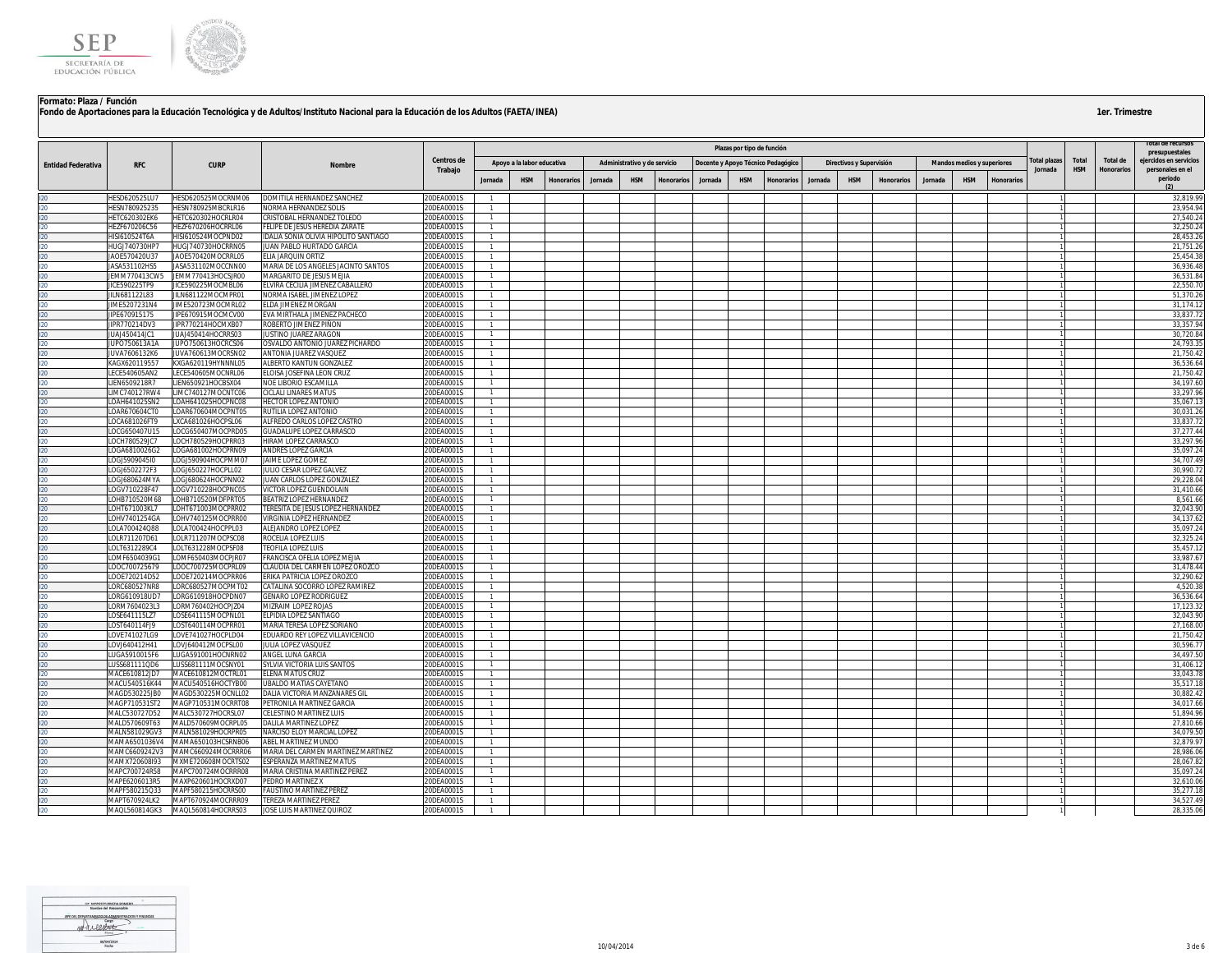

|                           |                                |                                          |                                                                      |                          |                |                            |                   |         |                              |                   |         |                            |                                    |         |                          |            |         |                                   |            |                        |                     |                               | otal de recurso:                           |
|---------------------------|--------------------------------|------------------------------------------|----------------------------------------------------------------------|--------------------------|----------------|----------------------------|-------------------|---------|------------------------------|-------------------|---------|----------------------------|------------------------------------|---------|--------------------------|------------|---------|-----------------------------------|------------|------------------------|---------------------|-------------------------------|--------------------------------------------|
|                           |                                |                                          |                                                                      |                          |                |                            |                   |         |                              |                   |         | Plazas por tipo de función |                                    |         |                          |            |         |                                   |            |                        |                     |                               | presupuestales                             |
| <b>Entidad Federativa</b> | <b>RFC</b>                     | <b>CURP</b>                              | <b>Nombre</b>                                                        | Centros de<br>Trabajo    |                | Apoyo a la labor educativa |                   |         | Administrativo y de servicio |                   |         |                            | Docente y Apoyo Técnico Pedagógico |         | Directivos y Supervisión |            |         | <b>Mandos medios y superiores</b> |            | otal plazas<br>Jornada | Total<br><b>HSM</b> | Total de<br><b>Honorarios</b> | ejercidos en servicios<br>personales en el |
|                           |                                |                                          |                                                                      |                          | Jornada        | <b>HSM</b>                 | <b>Honorarios</b> | Jornada | <b>HSM</b>                   | <b>Honorarios</b> | Jornada | <b>HSM</b>                 | <b>Honorarios</b>                  | Jornada | <b>HSM</b>               | Honorarios | Jornada | <b>HSM</b>                        | Honorarios |                        |                     |                               | periodo                                    |
|                           |                                |                                          |                                                                      |                          |                |                            |                   |         |                              |                   |         |                            |                                    |         |                          |            |         |                                   |            |                        |                     |                               |                                            |
|                           | HESD620525LU7<br>ESN780925235  | HESD620525MOCRNM06<br>HESN780925MBCRLR16 | DOMITILA HERNANDEZ SANCHEZ<br>NORMA HERNANDEZ SOLIS                  | 20DEA0001S<br>20DEA0001S |                |                            |                   |         |                              |                   |         |                            |                                    |         |                          |            |         |                                   |            |                        |                     |                               | 32,819.99<br>23,954.9                      |
|                           | <b>HETC620302EK6</b>           | HETC620302HOCRLR04                       | CRISTOBAL HERNANDEZ TOLEDO                                           | 20DEA0001S               |                |                            |                   |         |                              |                   |         |                            |                                    |         |                          |            |         |                                   |            |                        |                     |                               | 27,540.24                                  |
|                           | HEZF670206C56                  | HEZF670206HOCRRL06                       | FELIPE DE JESUS HEREDIA ZARATE                                       | 20DEA0001S               | $\mathbf{1}$   |                            |                   |         |                              |                   |         |                            |                                    |         |                          |            |         |                                   |            |                        |                     |                               | 32,250.24                                  |
|                           | IISI610524T6A                  | HISI610524MOCPND02                       | IDALIA SONIA OLIVIA HIPOLITO SANTIAGO                                | 20DEA0001S               |                |                            |                   |         |                              |                   |         |                            |                                    |         |                          |            |         |                                   |            |                        |                     |                               | 28,453.2                                   |
|                           | HUGJ740730HP7                  | HUGJ740730HOCRRN05                       | JUAN PABLO HURTADO GARCIA                                            | 20DEA0001S               | -1.            |                            |                   |         |                              |                   |         |                            |                                    |         |                          |            |         |                                   |            |                        |                     |                               | 21,751.26                                  |
|                           | JAOE570420U37                  | JAOE570420MOCRRL05                       | ELIA JARQUIN ORTIZ                                                   | 20DEA0001S               |                |                            |                   |         |                              |                   |         |                            |                                    |         |                          |            |         |                                   |            |                        |                     |                               | 25,454.38                                  |
|                           | JASA531102HS5                  | JASA531102MOCCNN00                       | MARIA DE LOS ANGELES JACINTO SANTOS                                  | 20DEA0001S               |                |                            |                   |         |                              |                   |         |                            |                                    |         |                          |            |         |                                   |            |                        |                     |                               | 36,936.48                                  |
|                           | JEMM770413CW5<br>JICE590225TP9 | JEMM770413HOCSJR00<br>JICE590225MOCMBL06 | MARGARITO DE JESUS MEJIA<br>ELVIRA CECILIA JIMENEZ CABALLERO         | 20DEA0001S<br>20DEA0001S |                |                            |                   |         |                              |                   |         |                            |                                    |         |                          |            |         |                                   |            |                        |                     |                               | 36,531.8<br>22,550.7                       |
|                           | JILN681122L83                  | JILN681122MOCMPR01                       | NORMA ISABEL JIMENEZ LOPEZ                                           | 20DEA0001S               | $\mathbf{1}$   |                            |                   |         |                              |                   |         |                            |                                    |         |                          |            |         |                                   |            |                        |                     |                               | 51,370.26                                  |
|                           | JIME5207231N4                  | JIME520723MOCMRL02                       | ELDA JIMENEZ MORGAN                                                  | 20DEA0001S               |                |                            |                   |         |                              |                   |         |                            |                                    |         |                          |            |         |                                   |            |                        |                     |                               | 31,174.12                                  |
|                           | IPE670915175                   | JIPE670915MOCMCV00                       | EVA MIRTHALA JIMENEZ PACHECO                                         | 20DEA0001S               |                |                            |                   |         |                              |                   |         |                            |                                    |         |                          |            |         |                                   |            |                        |                     |                               | 33,837.7                                   |
|                           | JIPR770214DV3                  | IIPR770214HOCMXB07                       | ROBERTO JIMENEZ PIÑON                                                | 20DEA0001S               | $\mathbf{1}$   |                            |                   |         |                              |                   |         |                            |                                    |         |                          |            |         |                                   |            |                        |                     |                               | 33.357.94                                  |
|                           | JUAJ450414JC1                  | JUAJ450414HOCRRS03                       | JUSTINO JUAREZ ARAGON                                                | 20DEA0001S               |                |                            |                   |         |                              |                   |         |                            |                                    |         |                          |            |         |                                   |            |                        |                     |                               | 30,720.84                                  |
|                           | JUPO750613A1A                  | JUPO750613HOCRCS06                       | OSVALDO ANTONIO JUAREZ PICHARDO                                      | 20DEA0001S               |                |                            |                   |         |                              |                   |         |                            |                                    |         |                          |            |         |                                   |            |                        |                     |                               | 24,793.35                                  |
|                           | JUVA7606132K6<br>(AGX620119557 | JUVA760613MOCRSN02<br>(XGA620119HYNNNL05 | ANTONIA JUAREZ VASQUEZ<br>ALBERTO KANTUN GONZALEZ                    | 20DEA0001S<br>20DEA0001S |                |                            |                   |         |                              |                   |         |                            |                                    |         |                          |            |         |                                   |            |                        |                     |                               | 21.750.42<br>36,536.64                     |
|                           | ECE540605AN2                   | LECE540605MOCNRL06                       | ELOISA JOSEFINA LEON CRUZ                                            | 20DEA0001S               |                |                            |                   |         |                              |                   |         |                            |                                    |         |                          |            |         |                                   |            |                        |                     |                               | 21,750.42                                  |
|                           | IEN6509218R7                   | LIEN650921HOCBSX04                       | NOE LIBORIO ESCAMILLA                                                | 20DEA0001S               |                |                            |                   |         |                              |                   |         |                            |                                    |         |                          |            |         |                                   |            |                        |                     |                               | 34,197.60                                  |
|                           | IMC740127RW4                   | LIMC740127MOCNTC06                       | CICLALI LINARES MATUS                                                | 20DEA0001S               |                |                            |                   |         |                              |                   |         |                            |                                    |         |                          |            |         |                                   |            |                        |                     |                               | 33,297.96                                  |
|                           | OAH641025SN2                   | LOAH641025HOCPNC08                       | <b>HECTOR LOPEZ ANTONIO</b>                                          | 20DEA0001S               | $\mathbf{1}$   |                            |                   |         |                              |                   |         |                            |                                    |         |                          |            |         |                                   |            |                        |                     |                               | 35.067.1                                   |
|                           | LOAR670604CT0                  | LOAR670604MOCPNT05                       | RUTILIA LOPEZ ANTONIO                                                | 20DEA0001S               |                |                            |                   |         |                              |                   |         |                            |                                    |         |                          |            |         |                                   |            |                        |                     |                               | 30,031.26                                  |
|                           | OCA681026FT9                   | LXCA681026HOCPSL06                       | ALFREDO CARLOS LOPEZ CASTRO                                          | 20DEA0001S               |                |                            |                   |         |                              |                   |         |                            |                                    |         |                          |            |         |                                   |            |                        |                     |                               | 33,837.7                                   |
|                           | OCG650407U15<br>LOCH780529JC7  | LOCG650407MOCPRD05<br>LOCH780529HOCPRR03 | <b>GUADALUPE LOPEZ CARRASCO</b><br>HIRAM LOPEZ CARRASCO              | 20DEA0001S<br>20DEA0001S | $\mathbf{1}$   |                            |                   |         |                              |                   |         |                            |                                    |         |                          |            |         |                                   |            |                        |                     |                               | 37.277.4<br>33,297.9                       |
|                           | LOGA6810026G2                  | LOGA681002HOCPRN09                       | ANDRES LOPEZ GARCIA                                                  | 20DEA0001S               |                |                            |                   |         |                              |                   |         |                            |                                    |         |                          |            |         |                                   |            |                        |                     |                               | 35,097.24                                  |
|                           | OGJ5909045I0                   | LOGJ590904HOCPMM07                       | JAIME LOPEZ GOMEZ                                                    | 20DEA0001S               |                |                            |                   |         |                              |                   |         |                            |                                    |         |                          |            |         |                                   |            |                        |                     |                               | 34,707.49                                  |
|                           | OGJ6502272F3                   | LOGJ650227HOCPLL02                       | JULIO CESAR LOPEZ GALVEZ                                             | 20DEA0001S               |                |                            |                   |         |                              |                   |         |                            |                                    |         |                          |            |         |                                   |            |                        |                     |                               | 30,990.72                                  |
|                           | <b>OGJ680624MYA</b>            | LOGJ680624HOCPNN02                       | JUAN CARLOS LOPEZ GONZALEZ                                           | 20DEA0001S               | $\mathbf{1}$   |                            |                   |         |                              |                   |         |                            |                                    |         |                          |            |         |                                   |            |                        |                     |                               | 29,228.04                                  |
|                           | LOGV710228F47                  | LOGV710228HOCPNC05                       | VICTOR LOPEZ GUENDOLAIN                                              | 20DEA0001S               |                |                            |                   |         |                              |                   |         |                            |                                    |         |                          |            |         |                                   |            |                        |                     |                               | 31,410.66                                  |
|                           | OHB710520M68                   | LOHB710520MDFPRT05                       | BEATRIZ LOPEZ HERNANDEZ                                              | 20DEA0001S               | $\mathbf{1}$   |                            |                   |         |                              |                   |         |                            |                                    |         |                          |            |         |                                   |            |                        |                     |                               | 8,561.66                                   |
|                           | OHT671003KL7<br>OHV7401254GA   | LOHT671003MOCPRR02<br>LOHV740125MOCPRR00 | <b>TERESITA DE JESUS LOPEZ HERNANDEZ</b><br>VIRGINIA LOPEZ HERNANDEZ | 20DEA0001S<br>20DEA0001S |                |                            |                   |         |                              |                   |         |                            |                                    |         |                          |            |         |                                   |            |                        |                     |                               | 32,043.90<br>34,137.62                     |
|                           | LOLA700424Q88                  | LOLA700424HOCPPL03                       | ALEJANDRO LOPEZ LOPEZ                                                | 20DEA0001S               |                |                            |                   |         |                              |                   |         |                            |                                    |         |                          |            |         |                                   |            |                        |                     |                               | 35,097.24                                  |
|                           | OLR711207D61                   | LOLR711207MOCPSC08                       | ROCELIA LOPEZ LUIS                                                   | 20DEA0001S               |                |                            |                   |         |                              |                   |         |                            |                                    |         |                          |            |         |                                   |            |                        |                     |                               | 32,325.2                                   |
|                           | OLT6312289C4                   | LOLT631228MOCPSF08                       | <b>TEOFILA LOPEZ LUIS</b>                                            | 20DEA0001S               | 1.             |                            |                   |         |                              |                   |         |                            |                                    |         |                          |            |         |                                   |            |                        |                     |                               | 35,457.1                                   |
|                           | .OMF6504039G1                  | LOMF650403MOCPJR07                       | FRANCISCA OFELIA LOPEZ MEJIA                                         | 20DEA0001S               |                |                            |                   |         |                              |                   |         |                            |                                    |         |                          |            |         |                                   |            |                        |                     |                               | 33,987.67                                  |
|                           | LOOC700725679                  | LOOC700725MOCPRL09                       | CLAUDIA DEL CARMEN LOPEZ OROZCO                                      | 20DEA0001S               |                |                            |                   |         |                              |                   |         |                            |                                    |         |                          |            |         |                                   |            |                        |                     |                               | 31,478.44                                  |
|                           | OOE720214D52                   | LOOE720214MOCPRR06                       | ERIKA PATRICIA LOPEZ OROZCO                                          | 20DEA0001S<br>20DEA0001S | $\mathbf{1}$   |                            |                   |         |                              |                   |         |                            |                                    |         |                          |            |         |                                   |            |                        |                     |                               | 32.290.6                                   |
|                           | ORC680527NR8<br>LORG610918UD7  | ORC680527MOCPMT02<br>LORG610918HOCPDN07  | CATALINA SOCORRO LOPEZ RAMIREZ<br><b>GENARO LOPEZ RODRIGUEZ</b>      | 20DEA0001S               |                |                            |                   |         |                              |                   |         |                            |                                    |         |                          |            |         |                                   |            |                        |                     |                               | 4,520.3<br>36.536.64                       |
|                           | ORM7604023L3                   | LORM760402HOCPJZ04                       | MIZRAIM LOPEZ ROJAS                                                  | 20DEA0001S               |                |                            |                   |         |                              |                   |         |                            |                                    |         |                          |            |         |                                   |            |                        |                     |                               | 17,123.32                                  |
|                           | OSE641115LZ7                   | LOSE641115MOCPNL01                       | ELPIDIA LOPEZ SANTIAGO                                               | 20DEA0001S               | $\overline{1}$ |                            |                   |         |                              |                   |         |                            |                                    |         |                          |            |         |                                   |            |                        |                     |                               | 32,043.90                                  |
|                           | OST640114FJ9                   | LOST640114MOCPRR01                       | MARIA TERESA LOPEZ SORIANO                                           | 20DEA0001S               | $\mathbf{1}$   |                            |                   |         |                              |                   |         |                            |                                    |         |                          |            |         |                                   |            |                        |                     |                               | 27.168.00                                  |
|                           | LOVE741027LG9                  | LOVE741027HOCPLD04                       | EDUARDO REY LOPEZ VILLAVICENCIO                                      | 20DEA0001S               |                |                            |                   |         |                              |                   |         |                            |                                    |         |                          |            |         |                                   |            |                        |                     |                               | 21,750.42                                  |
|                           | OVJ640412H41                   | LOVJ640412MOCPSL00                       | JULIA LOPEZ VASQUEZ                                                  | 20DEA0001S               |                |                            |                   |         |                              |                   |         |                            |                                    |         |                          |            |         |                                   |            |                        |                     |                               | 30.596.7                                   |
|                           | UGA5910015F6<br>USS681111QD6   | UGA591001HOCNRN02<br>LUSS681111MOCSNY01  | ANGEL LUNA GARCIA<br>SYLVIA VICTORIA LUIS SANTOS                     | 20DEA0001S<br>20DEA0001S |                |                            |                   |         |                              |                   |         |                            |                                    |         |                          |            |         |                                   |            |                        |                     |                               | 34,497.50<br>31,406.1                      |
|                           | MACE610812JD7                  | MACE610812MOCTRL01                       | ELENA MATUS CRUZ                                                     | 20DEA0001S               |                |                            |                   |         |                              |                   |         |                            |                                    |         |                          |            |         |                                   |            |                        |                     |                               | 33,043.78                                  |
|                           | MACU540516K44                  | MACU540516HOCTYB00                       | UBALDO MATIAS CAYETANO                                               | 20DEA0001S               |                |                            |                   |         |                              |                   |         |                            |                                    |         |                          |            |         |                                   |            |                        |                     |                               | 35,517.18                                  |
|                           | MAGD530225JB0                  | MAGD530225MOCNLL02                       | DALIA VICTORIA MANZANARES GIL                                        | 20DEA0001S               |                |                            |                   |         |                              |                   |         |                            |                                    |         |                          |            |         |                                   |            |                        |                     |                               | 30.882.42                                  |
|                           | MAGP710531ST2                  | MAGP710531MOCRRT08                       | PETRONILA MARTINEZ GARCIA                                            | 20DEA0001S               | $\mathbf{1}$   |                            |                   |         |                              |                   |         |                            |                                    |         |                          |            |         |                                   |            |                        |                     |                               | 34,017.66                                  |
|                           | MALC530727D52                  | MALC530727HOCRSL07                       | CELESTINO MARTINEZ LUIS                                              | 20DEA0001S               |                |                            |                   |         |                              |                   |         |                            |                                    |         |                          |            |         |                                   |            |                        |                     |                               | 51,894.96                                  |
|                           | MALD570609T63                  | MALD570609MOCRPL05                       | <b>DALILA MARTINEZ LOPEZ</b>                                         | 20DEA0001S               |                |                            |                   |         |                              |                   |         |                            |                                    |         |                          |            |         |                                   |            |                        |                     |                               | 27,810.66                                  |
|                           | VIALN581029GV3                 | MALN581029HOCRPR05<br>MAMA650103HCSRNB06 | NARCISO ELOY MARCIAL LOPEZ                                           | 20DEA0001S<br>20DEA0001S |                |                            |                   |         |                              |                   |         |                            |                                    |         |                          |            |         |                                   |            |                        |                     |                               | 34,079.50<br>32,879.9                      |
|                           | MAMA6501036V4<br>MAMC6609242V3 | MAMC660924MOCRRR06                       | ABEL MARTINEZ MUNDO<br>MARIA DEL CARMEN MARTINEZ MARTINEZ            | 20DEA0001S               |                |                            |                   |         |                              |                   |         |                            |                                    |         |                          |            |         |                                   |            |                        |                     |                               | 28,986.06                                  |
|                           | VIAMX720608I93                 | MXME720608MOCRTS02                       | ESPERANZA MARTINEZ MATUS                                             | 20DEA0001S               |                |                            |                   |         |                              |                   |         |                            |                                    |         |                          |            |         |                                   |            |                        |                     |                               | 28,067.82                                  |
|                           | MAPC700724R58                  | MAPC700724MOCRRR08                       | MARIA CRISTINA MARTINEZ PEREZ                                        | 20DEA0001S               |                |                            |                   |         |                              |                   |         |                            |                                    |         |                          |            |         |                                   |            |                        |                     |                               | 35.097.24                                  |
|                           | MAPE6206013R5                  | MAXP620601HOCRXD07                       | PEDRO MARTINEZ X                                                     | 20DEA0001S               |                |                            |                   |         |                              |                   |         |                            |                                    |         |                          |            |         |                                   |            |                        |                     |                               | 32,610.06                                  |
|                           | MAPF580215Q33                  | MAPF580215HOCRRS00                       | <b>FAUSTINO MARTINEZ PEREZ</b>                                       | 20DEA0001S               |                |                            |                   |         |                              |                   |         |                            |                                    |         |                          |            |         |                                   |            |                        |                     |                               | 35.277.18                                  |
|                           | MAPT670924LK2                  | MAPT670924MOCRRR09                       | <b>TEREZA MARTINEZ PEREZ</b>                                         | 20DEA0001S               |                |                            |                   |         |                              |                   |         |                            |                                    |         |                          |            |         |                                   |            |                        |                     |                               | 34,527.49                                  |
|                           | MAQL560814GK3                  | MAQL560814HOCRRS03                       | JOSE LUIS MARTINEZ QUIROZ                                            | 20DEA0001S               | $\overline{1}$ |                            |                   |         |                              |                   |         |                            |                                    |         |                          |            |         |                                   |            |                        |                     |                               | 28,335.06                                  |

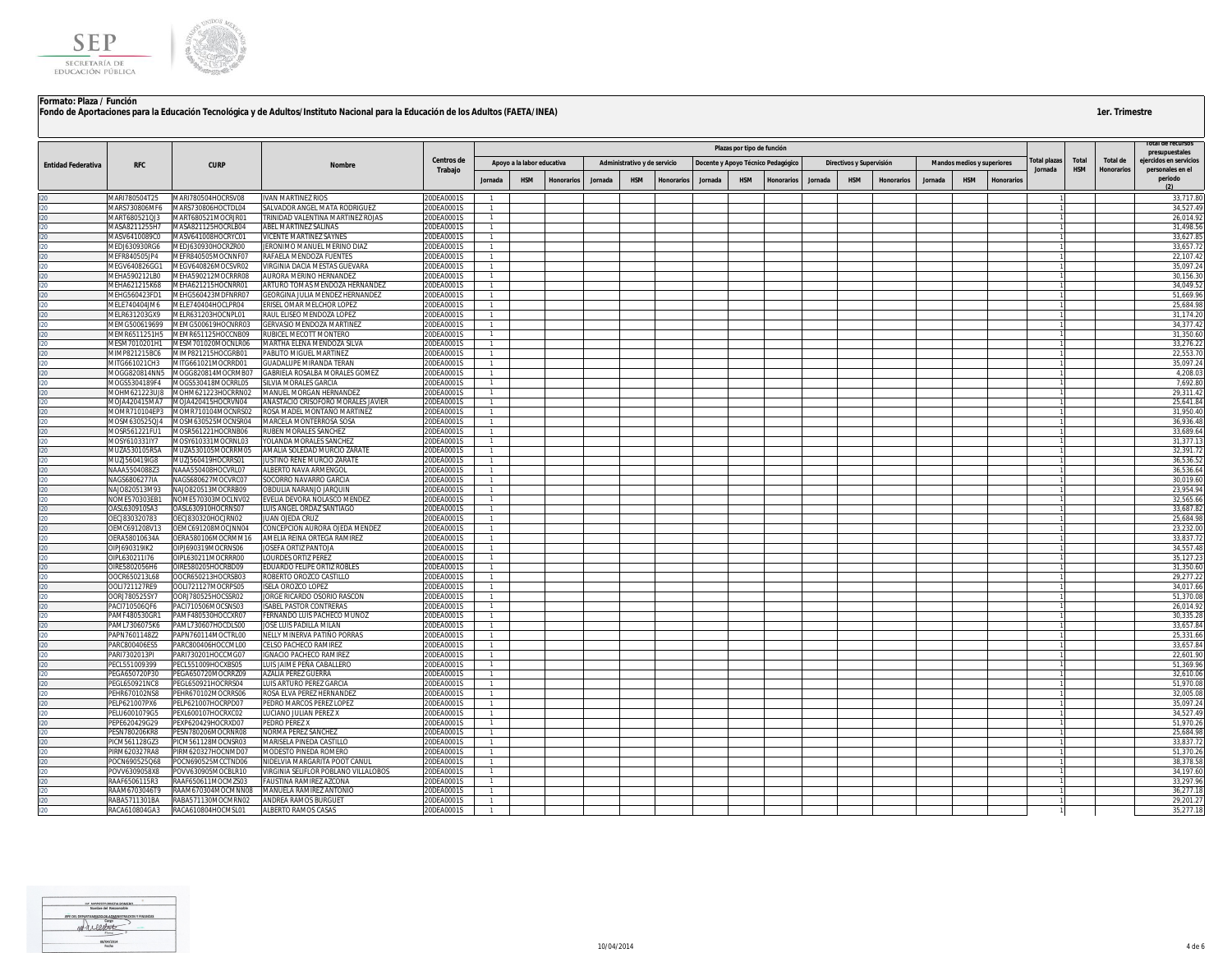

|                           |                                |                                          |                                                                      |                          |                                  |                            |                   |         |                              |                   |         |                            |                                    |         |                          |                   |         |                                   |                   |             |            |                   | i otal de recursos                       |
|---------------------------|--------------------------------|------------------------------------------|----------------------------------------------------------------------|--------------------------|----------------------------------|----------------------------|-------------------|---------|------------------------------|-------------------|---------|----------------------------|------------------------------------|---------|--------------------------|-------------------|---------|-----------------------------------|-------------------|-------------|------------|-------------------|------------------------------------------|
|                           |                                |                                          |                                                                      | Centros de               |                                  |                            |                   |         |                              |                   |         | Plazas por tipo de función |                                    |         |                          |                   |         |                                   |                   | otal plazas | Total      | Total de          | presupuestales<br>ejercidos en servicios |
| <b>Entidad Federativa</b> | <b>RFC</b>                     | <b>CURP</b>                              | Nombre                                                               | Trabajo                  |                                  | Apoyo a la labor educativa |                   |         | Administrativo y de servicio |                   |         |                            | Docente y Apoyo Técnico Pedagógico |         | Directivos y Supervisión |                   |         | <b>Mandos medios y superiores</b> |                   | Jornada     | <b>HSM</b> | <b>Honorarios</b> | personales en el                         |
|                           |                                |                                          |                                                                      |                          | <b>Jornada</b>                   | <b>HSM</b>                 | <b>Honorarios</b> | Jornada | <b>HSM</b>                   | <b>Honorarios</b> | Jornada | <b>HSM</b>                 | <b>Honorarios</b>                  | Jornada | <b>HSM</b>               | <b>Honorarios</b> | Jornada | <b>HSM</b>                        | <b>Honorarios</b> |             |            |                   | periodo                                  |
|                           | MARI780504T25                  | MARI780504HOCRSV08                       | <b>IVAN MARTINEZ RIOS</b>                                            | 20DEA0001S               |                                  |                            |                   |         |                              |                   |         |                            |                                    |         |                          |                   |         |                                   |                   |             |            |                   | 33,717.80                                |
|                           | MARS730806MF6                  | MARS730806HOCTDL04                       | SALVADOR ANGEL MATA RODRIGUEZ                                        | 20DEA0001S               |                                  |                            |                   |         |                              |                   |         |                            |                                    |         |                          |                   |         |                                   |                   |             |            |                   | 34.527.49                                |
|                           | MART680521QJ3                  | MART680521MOCRJR01                       | <b>FRINIDAD VALENTINA MARTINEZ ROJAS</b>                             | 20DEA0001S               |                                  |                            |                   |         |                              |                   |         |                            |                                    |         |                          |                   |         |                                   |                   |             |            |                   | 26,014.9                                 |
|                           | MASA8211255H7                  | MASA821125HOCRLB04                       | ABEL MARTINEZ SALINAS                                                | 20DEA0001S               | $\overline{1}$                   |                            |                   |         |                              |                   |         |                            |                                    |         |                          |                   |         |                                   |                   |             |            |                   | 31,498.56                                |
|                           | MASV6410089C0                  | MASV641008HOCRYC01                       | VICENTE MARTINEZ SAYNES                                              | 20DEA0001S               |                                  |                            |                   |         |                              |                   |         |                            |                                    |         |                          |                   |         |                                   |                   |             |            |                   | 33,627.85                                |
|                           | MEDJ630930RG6                  | MEDJ630930HOCRZR00                       | JERONIMO MANUEL MERINO DIAZ                                          | 20DEA0001S               |                                  |                            |                   |         |                              |                   |         |                            |                                    |         |                          |                   |         |                                   |                   |             |            |                   | 33,657.7                                 |
|                           | MEFR840505JP4                  | MEFR840505MOCNNF07                       | RAFAELA MENDOZA FUENTES                                              | 20DEA0001S               | -1                               |                            |                   |         |                              |                   |         |                            |                                    |         |                          |                   |         |                                   |                   |             |            |                   | 22.107.42                                |
|                           | MEGV640826GG1                  | MEGV640826MOCSVR02                       | <b>IRGINIA DACIA MESTAS GUEVARA</b>                                  | 20DEA0001S               | $\overline{1}$                   |                            |                   |         |                              |                   |         |                            |                                    |         |                          |                   |         |                                   |                   |             |            |                   | 35,097.24                                |
|                           | MEHA590212LB0<br>MEHA621215K68 | MEHA590212MOCRRR08<br>MEHA621215HOCNRR01 | AURORA MERINO HERNANDEZ<br>ARTURO TOMAS MENDOZA HERNANDEZ            | 20DEA0001S<br>20DEA0001S | $\overline{1}$                   |                            |                   |         |                              |                   |         |                            |                                    |         |                          |                   |         |                                   |                   |             |            |                   | 30,156.30<br>34,049.5                    |
|                           | MEHG560423FD1                  | MEHG560423MDFNRR07                       | EORGINA JULIA MENDEZ HERNANDEZ                                       | 20DEA0001S               |                                  |                            |                   |         |                              |                   |         |                            |                                    |         |                          |                   |         |                                   |                   |             |            |                   | 51,669.96                                |
|                           | MELE740404JM6                  | MELE740404HOCLPR04                       | RISEL OMAR MELCHOR LOPEZ                                             | 20DEA0001S               |                                  |                            |                   |         |                              |                   |         |                            |                                    |         |                          |                   |         |                                   |                   |             |            |                   | 25.684.98                                |
|                           | MELR631203GX9                  | MELR631203HOCNPL01                       | RAUL ELISEO MENDOZA LOPEZ                                            | 20DEA0001S               |                                  |                            |                   |         |                              |                   |         |                            |                                    |         |                          |                   |         |                                   |                   |             |            |                   | 31,174.20                                |
|                           | MEMG500619699                  | MEMG500619HOCNRR03                       | GERVASIO MENDOZA MARTINEZ                                            | 20DEA0001S               |                                  |                            |                   |         |                              |                   |         |                            |                                    |         |                          |                   |         |                                   |                   |             |            |                   | 34,377.42                                |
|                           | MEMR6511251H5                  | MEMR651125HOCCNB09                       | <b>RUBICEL MECOTT MONTERO</b>                                        | 20DEA0001S               | $\overline{1}$                   |                            |                   |         |                              |                   |         |                            |                                    |         |                          |                   |         |                                   |                   |             |            |                   | 31.350.60                                |
|                           | MESM7010201H1                  | MESM701020MOCNLR06                       | MARTHA ELENA MENDOZA SILVA                                           | 20DEA0001S               | $\overline{1}$                   |                            |                   |         |                              |                   |         |                            |                                    |         |                          |                   |         |                                   |                   |             |            |                   | 33,276.22                                |
|                           | MIMP821215BC6                  | MIMP821215HOCGRB01                       | <b>PABLITO MIGUEL MARTINEZ</b>                                       | 20DEA0001S               | $\overline{1}$                   |                            |                   |         |                              |                   |         |                            |                                    |         |                          |                   |         |                                   |                   |             |            |                   | 22.553.70                                |
|                           | MITG661021CH3                  | VIITG661021MOCRRD01                      | <b>JUADALUPE MIRANDA TERAN</b>                                       | 20DEA0001S               |                                  |                            |                   |         |                              |                   |         |                            |                                    |         |                          |                   |         |                                   |                   |             |            |                   | 35,097.2                                 |
|                           | VIOGG820814NN5                 | VIOGG820814MOCRMB07                      | ABRIELA ROSALBA MORALES GOMEZ                                        | 20DEA0001S               |                                  |                            |                   |         |                              |                   |         |                            |                                    |         |                          |                   |         |                                   |                   |             |            |                   | 4,208.0                                  |
|                           | MOGS5304189F4                  | MOGS530418MOCRRL05                       | SILVIA MORALES GARCIA                                                | 20DEA0001S               |                                  |                            |                   |         |                              |                   |         |                            |                                    |         |                          |                   |         |                                   |                   |             |            |                   | 7,692.80                                 |
|                           | MOHM621223UJ8<br>MOJA420415MA7 | MOHM621223HOCRRN02<br>MOJA420415HOCRVN04 | <b>MANUEL MORGAN HERNANDEZ</b><br>ANASTACIO CRISOFORO MORALES JAVIER | 20DEA0001S<br>20DEA0001S | $\overline{1}$                   |                            |                   |         |                              |                   |         |                            |                                    |         |                          |                   |         |                                   |                   |             |            |                   | 29,311.42<br>25.641.84                   |
|                           | MOMR710104EP3                  | MOMR710104MOCNRS02                       | ROSA MADEL MONTAÑO MARTINEZ                                          | 20DEA0001S               | $\overline{1}$                   |                            |                   |         |                              |                   |         |                            |                                    |         |                          |                   |         |                                   |                   |             |            |                   | 31,950.40                                |
|                           | MOSM630525QJ4                  | MOSM630525MOCNSR04                       | <b>MARCELA MONTERROSA SOSA</b>                                       | 20DEA0001S               | $\overline{1}$                   |                            |                   |         |                              |                   |         |                            |                                    |         |                          |                   |         |                                   |                   |             |            |                   | 36,936.48                                |
|                           | MOSR561221FU1                  | MOSR561221HOCRNB06                       | RUBEN MORALES SANCHEZ                                                | 20DEA0001S               |                                  |                            |                   |         |                              |                   |         |                            |                                    |         |                          |                   |         |                                   |                   |             |            |                   | 33,689.6                                 |
|                           | MOSY610331IY7                  | MOSY610331MOCRNL03                       | <b>OLANDA MORALES SANCHEZ</b>                                        | 20DEA0001S               | $\overline{1}$                   |                            |                   |         |                              |                   |         |                            |                                    |         |                          |                   |         |                                   |                   |             |            |                   | 31,377.1                                 |
|                           | MUZA530105R5A                  | MUZA530105MOCRRM05                       | AMALIA SOLEDAD MURCIO ZARATE                                         | 20DEA0001S               | $\overline{1}$                   |                            |                   |         |                              |                   |         |                            |                                    |         |                          |                   |         |                                   |                   |             |            |                   | 32.391.7                                 |
|                           | MUZJ560419IG8                  | MUZJ560419HOCRRS01                       | USTINO RENE MURCIO ZARATE                                            | 20DEA0001S               |                                  |                            |                   |         |                              |                   |         |                            |                                    |         |                          |                   |         |                                   |                   |             |            |                   | 36,536.5                                 |
|                           | VAAA5504088Z3                  | NAAA550408HOCVRL07                       | <b>ILBERTO NAVA ARMENGOL</b>                                         | 20DEA0001S               |                                  |                            |                   |         |                              |                   |         |                            |                                    |         |                          |                   |         |                                   |                   |             |            |                   | 36,536.64                                |
|                           | NAGS6806277IA                  | NAGS680627MOCVRC07                       | SOCORRO NAVARRO GARCIA                                               | 20DEA0001S               | $\overline{1}$                   |                            |                   |         |                              |                   |         |                            |                                    |         |                          |                   |         |                                   |                   |             |            |                   | 30.019.60                                |
|                           | NAJO820513M93                  | NAJO820513MOCRRB09                       | OBDULIA NARANJO JARQUIN                                              | 20DEA0001S               | $\overline{1}$                   |                            |                   |         |                              |                   |         |                            |                                    |         |                          |                   |         |                                   |                   |             |            |                   | 23,954.94                                |
|                           | NOME570303EB1                  | NOME570303MOCLNV02                       | VELIA DEVORA NOLASCO MENDEZ                                          | 20DEA0001S               | $\overline{1}$                   |                            |                   |         |                              |                   |         |                            |                                    |         |                          |                   |         |                                   |                   |             |            |                   | 32,565.66                                |
|                           | DASL630910SA3                  | DASL630910HOCRNS07                       | UIS ANGEL ORDAZ SANTIAGO<br><b>UAN OJEDA CRUZ</b>                    | 20DEA0001S               |                                  |                            |                   |         |                              |                   |         |                            |                                    |         |                          |                   |         |                                   |                   |             |            |                   | 33,687.82                                |
|                           | DECJ830320783<br>DEMC691208V13 | DECJ830320HOCJRN02<br>OEMC691208MOCJNN04 | CONCEPCION AURORA OJEDA MENDEZ                                       | 20DEA0001S<br>20DEA0001S | $\overline{1}$                   |                            |                   |         |                              |                   |         |                            |                                    |         |                          |                   |         |                                   |                   |             |            |                   | 25,684.98<br>23,232.00                   |
|                           | DERA58010634A                  | DERA580106MOCRMM16                       | AMELIA REINA ORTEGA RAMIREZ                                          | 20DEA0001S               |                                  |                            |                   |         |                              |                   |         |                            |                                    |         |                          |                   |         |                                   |                   |             |            |                   | 33,837.72                                |
|                           | DIPJ690319IK2                  | 01PJ690319MOCRNS06                       | <b>OSEFA ORTIZ PANTOJA</b>                                           | 20DEA0001S               |                                  |                            |                   |         |                              |                   |         |                            |                                    |         |                          |                   |         |                                   |                   |             |            |                   | 34.557.48                                |
|                           | OIPL630211I76                  | OIPL630211MOCRRR00                       | OURDES ORTIZ PEREZ                                                   | 20DEA0001S               | $\overline{1}$                   |                            |                   |         |                              |                   |         |                            |                                    |         |                          |                   |         |                                   |                   |             |            |                   | 35,127.23                                |
|                           | OIRE5802056H6                  | OIRE580205HOCRBD09                       | <b>DUARDO FELIPE ORTIZ ROBLES</b>                                    | 20DEA0001S               | $\overline{1}$                   |                            |                   |         |                              |                   |         |                            |                                    |         |                          |                   |         |                                   |                   |             |            |                   | 31,350.60                                |
|                           | OOCR650213L68                  | OOCR650213HOCRSB03                       | ROBERTO OROZCO CASTILLO                                              | 20DEA0001S               | $\overline{1}$                   |                            |                   |         |                              |                   |         |                            |                                    |         |                          |                   |         |                                   |                   |             |            |                   | 29,277.2                                 |
|                           | OOLI721127RE9                  | DOL1721127MOCRPS05                       | SELA OROZCO LOPEZ                                                    | 20DEA0001S               |                                  |                            |                   |         |                              |                   |         |                            |                                    |         |                          |                   |         |                                   |                   |             |            |                   | 34,017.6                                 |
|                           | OORJ780525SY7                  | OORJ780525HOCSSR02                       | ORGE RICARDO OSORIO RASCON                                           | 20DEA0001S               | $\overline{1}$                   |                            |                   |         |                              |                   |         |                            |                                    |         |                          |                   |         |                                   |                   |             |            |                   | 51.370.0                                 |
|                           | PACI710506QF6                  | PACI710506MOCSNS03                       | SABEL PASTOR CONTRERAS                                               | 20DEA0001S               | $\overline{1}$                   |                            |                   |         |                              |                   |         |                            |                                    |         |                          |                   |         |                                   |                   |             |            |                   | 26,014.92                                |
|                           | PAMF480530GR1                  | PAMF480530HOCCXR07                       | ERNANDO LUIS PACHECO MUÑOZ                                           | 20DEA0001S               |                                  |                            |                   |         |                              |                   |         |                            |                                    |         |                          |                   |         |                                   |                   |             |            |                   | 30,335.28                                |
|                           | PAML7306075K6<br>PAPN7601148Z2 | AML730607HOCDLS00<br>PAPN760114MOCTRL00  | OSE LUIS PADILLA MILAN<br>NELLY MINERVA PATIÑO PORRAS                | 20DEA0001S<br>20DEA0001S | $\overline{1}$<br>$\overline{1}$ |                            |                   |         |                              |                   |         |                            |                                    |         |                          |                   |         |                                   |                   |             |            |                   | 33.657.84<br>25,331.66                   |
|                           | PARC800406ES5                  | PARC800406HOCCML00                       | CELSO PACHECO RAMIREZ                                                | 20DEA0001S               | $\overline{1}$                   |                            |                   |         |                              |                   |         |                            |                                    |         |                          |                   |         |                                   |                   |             |            |                   | 33,657.84                                |
|                           | PARI7302013PI                  | PARI730201HOCCMG07                       | <b>GNACIO PACHECO RAMIREZ</b>                                        | 20DEA0001S               |                                  |                            |                   |         |                              |                   |         |                            |                                    |         |                          |                   |         |                                   |                   |             |            |                   | 22,601.90                                |
|                           | PECL551009399                  | PECL551009HOCXBS05                       | UIS JAIME PEÑA CABALLERO                                             | 20DEA0001S               | $\overline{1}$                   |                            |                   |         |                              |                   |         |                            |                                    |         |                          |                   |         |                                   |                   |             |            |                   | 51,369.96                                |
|                           | PEGA650720P30                  | PEGA650720MOCRRZ09                       | AZALIA PEREZ GUERRA                                                  | 20DEA0001S               | $\overline{1}$                   |                            |                   |         |                              |                   |         |                            |                                    |         |                          |                   |         |                                   |                   |             |            |                   | 32,610.06                                |
|                           | PEGL650921NC8                  | PEGL650921HOCRRS04                       | UIS ARTURO PEREZ GARCIA                                              | 20DEA0001S               |                                  |                            |                   |         |                              |                   |         |                            |                                    |         |                          |                   |         |                                   |                   |             |            |                   | 51,970.0                                 |
|                           | PEHR670102NS8                  | EHR670102MOCRRS06                        | OSA ELVA PEREZ HERNANDEZ                                             | 20DEA0001S               |                                  |                            |                   |         |                              |                   |         |                            |                                    |         |                          |                   |         |                                   |                   |             |            |                   | 32,005.0                                 |
|                           | PELP621007PX6                  | PELP621007HOCRPD07                       | <b>PEDRO MARCOS PEREZ LOPEZ</b>                                      | 20DEA0001S               | $\overline{1}$                   |                            |                   |         |                              |                   |         |                            |                                    |         |                          |                   |         |                                   |                   |             |            |                   | 35.097.24                                |
|                           | PELU6001079G5                  | PEXL600107HOCRXC02                       | UCIANO JULIAN PEREZ X                                                | 20DEA0001S               | $\overline{1}$                   |                            |                   |         |                              |                   |         |                            |                                    |         |                          |                   |         |                                   |                   |             |            |                   | 34,527.49                                |
|                           | PEPE620429G29                  | PEXP620429HOCRXD07                       | <b>PEDRO PEREZ X</b>                                                 | 20DEA0001S               | $\overline{1}$                   |                            |                   |         |                              |                   |         |                            |                                    |         |                          |                   |         |                                   |                   |             |            |                   | 51,970.26                                |
|                           | PESN780206KR8                  | PESN780206MOCRNR08                       | <b>VORMA PEREZ SANCHEZ</b>                                           | 20DEA0001S               |                                  |                            |                   |         |                              |                   |         |                            |                                    |         |                          |                   |         |                                   |                   |             |            |                   | 25,684.98                                |
|                           | PICM561128GZ3<br>PIRM620327RA8 | ICM561128MOCNSR03                        | AARISELA PINEDA CASTILLO                                             | 20DEA0001S<br>20DEA0001S | $\overline{1}$<br>$\overline{1}$ |                            |                   |         |                              |                   |         |                            |                                    |         |                          |                   |         |                                   |                   |             |            |                   | 33.837.7<br>51.370.2                     |
|                           | POCN690525Q68                  | PIRM620327HOCNMD07<br>OCN690525MCCTND06  | MODESTO PINEDA ROMERO<br>IIDELVIA MARGARITA POOT CANUI               | 20DEA0001S               |                                  |                            |                   |         |                              |                   |         |                            |                                    |         |                          |                   |         |                                   |                   |             |            |                   | 38,378.5                                 |
|                           | POVV6309058X8                  | OVV630905MOCBLR10                        | IRGINIA SELIFLOR POBLANO VILLALOBOS                                  | 20DEA0001S               |                                  |                            |                   |         |                              |                   |         |                            |                                    |         |                          |                   |         |                                   |                   |             |            |                   | 34.197.60                                |
|                           | RAAF6506115R3                  | RAAF650611MOCMZS03                       | AUSTINA RAMIREZ AZCONA                                               | 20DEA0001S               | $\overline{1}$                   |                            |                   |         |                              |                   |         |                            |                                    |         |                          |                   |         |                                   |                   |             |            |                   | 33.297.96                                |
|                           | RAAM6703046T9                  | RAAM670304MOCMNN08                       | MANUELA RAMIREZ ANTONIO                                              | 20DEA0001S               | $\overline{1}$                   |                            |                   |         |                              |                   |         |                            |                                    |         |                          |                   |         |                                   |                   |             |            |                   | 36,277.18                                |
|                           | RABA5711301BA                  | RABA571130MOCMRN02                       | <b>ANDREA RAMOS BURGUET</b>                                          | 20DEA0001S               | $\overline{1}$                   |                            |                   |         |                              |                   |         |                            |                                    |         |                          |                   |         |                                   |                   |             |            |                   | 29,201.27                                |
|                           | RACA610804GA3                  | RACA610804HOCMSL01                       | ALBERTO RAMOS CASAS                                                  | 20DEA0001S               |                                  |                            |                   |         |                              |                   |         |                            |                                    |         |                          |                   |         |                                   |                   |             |            |                   | 35,277.18                                |

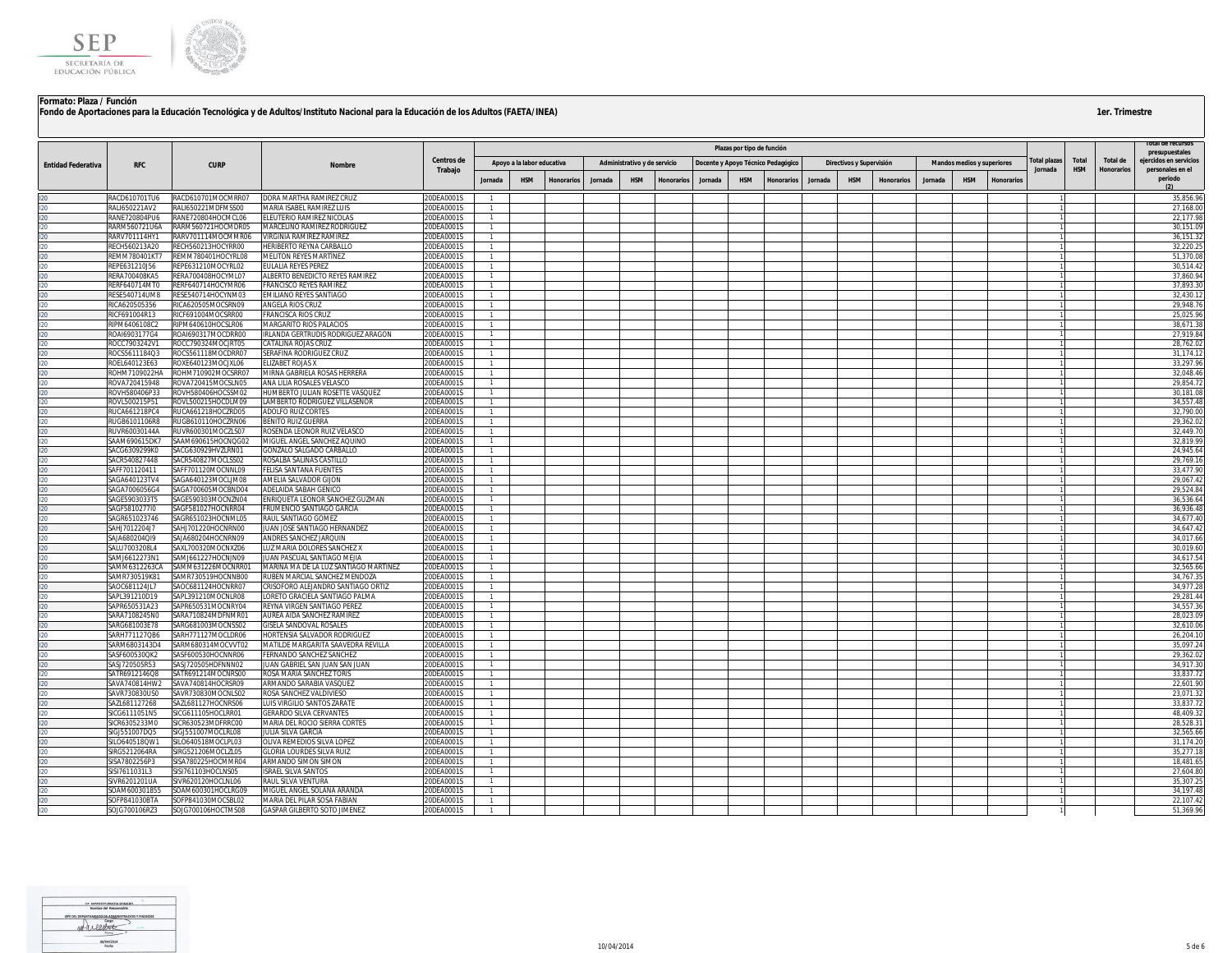

|                           |                                |                                          |                                                              | Centros de               |                                  |                            |                   |         |                              |            |                                    | Plazas por tipo de función |            |         |                          |                   |         |                                   |                   |                        |                     |                               | presupuestales                             |
|---------------------------|--------------------------------|------------------------------------------|--------------------------------------------------------------|--------------------------|----------------------------------|----------------------------|-------------------|---------|------------------------------|------------|------------------------------------|----------------------------|------------|---------|--------------------------|-------------------|---------|-----------------------------------|-------------------|------------------------|---------------------|-------------------------------|--------------------------------------------|
| <b>Entidad Federativa</b> | <b>RFC</b>                     | <b>CURP</b>                              | Nombre                                                       | Trabajo                  |                                  | Apoyo a la labor educativa |                   |         | Administrativo y de servicio |            | Docente y Apoyo Técnico Pedagógico |                            |            |         | Directivos y Supervisión |                   |         | <b>Mandos medios y superiores</b> |                   | otal plazas<br>Jornada | Total<br><b>HSM</b> | Total de<br><b>Honorarios</b> | ejercidos en servicios<br>personales en el |
|                           |                                |                                          |                                                              |                          | Jornada                          | <b>HSM</b>                 | <b>Honorarios</b> | Jornada | <b>HSM</b>                   | Honorarios | Jornada                            | <b>HSM</b>                 | Honorarios | Jornada | <b>HSM</b>               | <b>Honorarios</b> | Jornada | <b>HSM</b>                        | <b>Honorarios</b> |                        |                     |                               | periodo                                    |
|                           | RACD610701TU6                  | RACD610701MOCMRR07                       | DORA MARTHA RAMIREZ CRUZ                                     | 20DEA0001S               |                                  |                            |                   |         |                              |            |                                    |                            |            |         |                          |                   |         |                                   |                   |                        |                     |                               | 35,856.96                                  |
|                           | RALI650221AV2                  | RALI650221MDFMSS00                       | MARIA ISABEL RAMIREZ LUIS                                    | 20DEA0001S               |                                  |                            |                   |         |                              |            |                                    |                            |            |         |                          |                   |         |                                   |                   |                        |                     |                               | 27,168.00                                  |
|                           | RANE720804PU6                  | RANE720804HOCMCL06                       | ELEUTERIO RAMIREZ NICOLAS                                    | 20DEA0001S               | $\mathbf{1}$                     |                            |                   |         |                              |            |                                    |                            |            |         |                          |                   |         |                                   |                   |                        |                     |                               | 22,177.98                                  |
|                           | RARM560721U6A                  | RARM560721HOCMDR05                       | MARCELINO RAMIREZ RODRIGUEZ                                  | 20DEA0001S               | $\overline{1}$                   |                            |                   |         |                              |            |                                    |                            |            |         |                          |                   |         |                                   |                   |                        |                     |                               | 30,151.09                                  |
|                           | RARV701114HY1                  | RARV701114MOCMMR06                       | VIRGINIA RAMIREZ RAMIREZ                                     | 20DEA0001S               |                                  |                            |                   |         |                              |            |                                    |                            |            |         |                          |                   |         |                                   |                   |                        |                     |                               | 36,151.32                                  |
|                           | RECH560213A20                  | RECH560213HOCYRR00                       | <b>IERIBERTO REYNA CARBALLO</b>                              | 20DEA0001S               | $\mathbf{1}$                     |                            |                   |         |                              |            |                                    |                            |            |         |                          |                   |         |                                   |                   |                        |                     |                               | 32,220.25                                  |
|                           | <b>REMM780401KT7</b>           | REMM780401HOCYRL08                       | MELITON REYES MARTÍNEZ                                       | 20DEA0001S               | $\overline{1}$                   |                            |                   |         |                              |            |                                    |                            |            |         |                          |                   |         |                                   |                   |                        |                     |                               | 51,370.08                                  |
|                           | REPE631210J56<br>RERA700408KA5 | REPE631210MOCYRL02<br>RERA700408HOCYML07 | EULALIA REYES PEREZ<br>ALBERTO BENEDICTO REYES RAMIREZ       | 20DEA0001S<br>20DEA0001S | $\overline{1}$<br>$\overline{1}$ |                            |                   |         |                              |            |                                    |                            |            |         |                          |                   |         |                                   |                   |                        |                     |                               | 30,514.42<br>37,860.94                     |
|                           | RERF640714MT0                  | RERF640714HOCYMR06                       | <b>RANCISCO REYES RAMIREZ</b>                                | 20DEA0001S               |                                  |                            |                   |         |                              |            |                                    |                            |            |         |                          |                   |         |                                   |                   |                        |                     |                               | 37,893.30                                  |
|                           | RESE540714UM8                  | RESE540714HOCYNM03                       | <b>EMILIANO REYES SANTIAGO</b>                               | 20DEA0001S               |                                  |                            |                   |         |                              |            |                                    |                            |            |         |                          |                   |         |                                   |                   |                        |                     |                               | 32,430.1                                   |
|                           | RICA620505356                  | RICA620505MOCSRN09                       | ANGELA RIOS CRUZ                                             | 20DEA0001S               | $\overline{1}$                   |                            |                   |         |                              |            |                                    |                            |            |         |                          |                   |         |                                   |                   |                        |                     |                               | 29,948.76                                  |
|                           | RICF691004R13                  | RICF691004MOCSRR00                       | <b>RANCISCA RIOS CRUZ</b>                                    | 20DEA0001S               | $\overline{1}$                   |                            |                   |         |                              |            |                                    |                            |            |         |                          |                   |         |                                   |                   |                        |                     |                               | 25,025.96                                  |
|                           | RIPM6406108C2                  | RIPM640610HOCSLR06                       | <b>MARGARITO RIOS PALACIOS</b>                               | 20DEA0001S               | $\overline{1}$                   |                            |                   |         |                              |            |                                    |                            |            |         |                          |                   |         |                                   |                   |                        |                     |                               | 38.671.38                                  |
|                           | ROAI6903177G4                  | ROAI690317MOCDRR00                       | IRLANDA GERTRUDIS RODRIGUEZ ARAGON                           | 20DEA0001S               | $\overline{1}$                   |                            |                   |         |                              |            |                                    |                            |            |         |                          |                   |         |                                   |                   |                        |                     |                               | 27.919.84                                  |
|                           | ROCC7903242V1<br>ROCS5611184Q3 | ROCC790324MOCJRT05<br>ROCS561118MOCDRR07 | CATALINA ROJAS CRUZ<br>SERAFINA RODRIGUEZ CRUZ               | 20DEA0001S<br>20DEA0001S | $\overline{1}$<br>$\overline{1}$ |                            |                   |         |                              |            |                                    |                            |            |         |                          |                   |         |                                   |                   |                        |                     |                               | 28,762.02<br>31,174.12                     |
|                           | ROEL640123E63                  | ROXE640123MOCJXL06                       | ELIZABET ROJAS X                                             | ODEA0001S                |                                  |                            |                   |         |                              |            |                                    |                            |            |         |                          |                   |         |                                   |                   |                        |                     |                               | 33,297.96                                  |
|                           | ROHM7109022HA                  | ROHM710902MOCSRR07                       | <b>MIRNA GABRIELA ROSAS HERRERA</b>                          | 20DEA0001S               |                                  |                            |                   |         |                              |            |                                    |                            |            |         |                          |                   |         |                                   |                   |                        |                     |                               | 32,048.46                                  |
|                           | ROVA720415948                  | ROVA720415MOCSLN05                       | ANA LILIA ROSALES VELASCO                                    | 20DEA0001S               |                                  |                            |                   |         |                              |            |                                    |                            |            |         |                          |                   |         |                                   |                   |                        |                     |                               | 29,854.72                                  |
|                           | ROVH580406P33                  | ROVH580406HOCSSM02                       | HUMBERTO JULIAN ROSETTE VASQUEZ                              | 20DEA0001S               |                                  |                            |                   |         |                              |            |                                    |                            |            |         |                          |                   |         |                                   |                   |                        |                     |                               | 30,181.08                                  |
|                           | ROVL500215P51                  | ROVL500215HOCDLM09                       | LAMBERTO RODRIGUEZ VILLASEÑOR                                | ODEA0001S                | $\mathbf{1}$                     |                            |                   |         |                              |            |                                    |                            |            |         |                          |                   |         |                                   |                   |                        |                     |                               | 34.557.48                                  |
|                           | RUCA661218PC4                  | RUCA661218HOCZRD05                       | <b>ADOLFO RUIZ CORTES</b>                                    | 20DEA0001S               | $\overline{1}$                   |                            |                   |         |                              |            |                                    |                            |            |         |                          |                   |         |                                   |                   |                        |                     |                               | 32,790.00                                  |
|                           | RUGB6101106R8                  | RUGB610110HOCZRN06                       | <b>BENITO RUIZ GUERRA</b>                                    | 20DEA0001S               | $\overline{1}$                   |                            |                   |         |                              |            |                                    |                            |            |         |                          |                   |         |                                   |                   |                        |                     |                               | 29,362.02                                  |
|                           | RUVR60030144A<br>SAAM690615DK7 | RUVR600301MOCZLS07                       | ROSENDA LEONOR RUIZ VELASCO                                  | 20DEA0001S<br>20DEA0001S | $\overline{1}$                   |                            |                   |         |                              |            |                                    |                            |            |         |                          |                   |         |                                   |                   |                        |                     |                               | 32,449.70<br>32,819.99                     |
|                           | SACG6309299K0                  | SAAM690615HOCNQG02<br>SACG630929HVZLRN01 | MIGUEL ANGEL SANCHEZ AQUINO<br>GONZALO SALGADO CARBALLO      | 20DEA0001S               | $\overline{1}$                   |                            |                   |         |                              |            |                                    |                            |            |         |                          |                   |         |                                   |                   |                        |                     |                               | 24.945.64                                  |
|                           | SACR540827448                  | SACR540827MOCLSS02                       | ROSALBA SALINAS CASTILLO                                     | 20DEA0001S               |                                  |                            |                   |         |                              |            |                                    |                            |            |         |                          |                   |         |                                   |                   |                        |                     |                               | 29,769.16                                  |
|                           | SAFF701120411                  | SAFF701120MOCNNL09                       | <b>ELISA SANTANA FUENTES</b>                                 | ODEA0001S                |                                  |                            |                   |         |                              |            |                                    |                            |            |         |                          |                   |         |                                   |                   |                        |                     |                               | 33,477.9                                   |
|                           | SAGA640123TV4                  | SAGA640123MOCLIM08                       | AMELIA SALVADOR GIJON                                        | 20DEA0001S               | $\overline{1}$                   |                            |                   |         |                              |            |                                    |                            |            |         |                          |                   |         |                                   |                   |                        |                     |                               | 29.067.42                                  |
|                           | SAGA7006056G4                  | SAGA700605MOCBND04                       | ADELAIDA SABAH GENICO                                        | 20DEA0001S               | $\overline{1}$                   |                            |                   |         |                              |            |                                    |                            |            |         |                          |                   |         |                                   |                   |                        |                     |                               | 29,524.84                                  |
|                           | SAGE5903033T5                  | SAGE590303MOCNZN04                       | ENRIQUETA LEONOR SANCHEZ GUZMAN                              | 20DEA0001S               |                                  |                            |                   |         |                              |            |                                    |                            |            |         |                          |                   |         |                                   |                   |                        |                     |                               | 36,536.64                                  |
|                           | SAGF5810277I0                  | SAGF581027HOCNRR04                       | <b>RUMENCIO SANTIAGO GARCIA</b>                              | ODEA0001S                |                                  |                            |                   |         |                              |            |                                    |                            |            |         |                          |                   |         |                                   |                   |                        |                     |                               | 36,936.48                                  |
|                           | GAGR651023746<br>SAHJ7012204J7 | SAGR651023HOCNML05<br>SAHJ701220HOCNRN00 | RAUL SANTIAGO GOMEZ<br>JUAN JOSE SANTIAGO HERNANDEZ          | ODEA0001S<br>20DEA0001S  | $\overline{1}$                   |                            |                   |         |                              |            |                                    |                            |            |         |                          |                   |         |                                   |                   |                        |                     |                               | 34,677.40<br>34,647.42                     |
|                           | SAJA680204QI9                  | SAJA680204HOCNRN09                       | ANDRES SANCHEZ JARQUIN                                       | 20DEA0001S               |                                  |                            |                   |         |                              |            |                                    |                            |            |         |                          |                   |         |                                   |                   |                        |                     |                               | 34,017.66                                  |
|                           | SALU7003208L4                  | SAXL700320MOCNXZ06                       | UZ MARIA DOLORES SANCHEZ X                                   | ODEA0001S                |                                  |                            |                   |         |                              |            |                                    |                            |            |         |                          |                   |         |                                   |                   |                        |                     |                               | 30,019.60                                  |
|                           | SAMJ6612273N1                  | SAMJ661227HOCNJN09                       | JUAN PASCUAL SANTIAGO MEJIA                                  | 20DEA0001S               | $\overline{1}$                   |                            |                   |         |                              |            |                                    |                            |            |         |                          |                   |         |                                   |                   |                        |                     |                               | 34.617.54                                  |
|                           | SAMM6312263CA                  | SAMM631226MOCNRR01                       | MARINA MA DE LA LUZ SANTIAGO MARTINEZ                        | 20DEA0001S               | $\overline{1}$                   |                            |                   |         |                              |            |                                    |                            |            |         |                          |                   |         |                                   |                   |                        |                     |                               | 32,565.66                                  |
|                           | SAMR730519K81                  | SAMR730519HOCNNB00                       | RUBEN MARCIAL SANCHEZ MENDOZA                                | 20DEA0001S               |                                  |                            |                   |         |                              |            |                                    |                            |            |         |                          |                   |         |                                   |                   |                        |                     |                               | 34,767.35                                  |
|                           | SAOC681124JL7                  | SAOC681124HOCNRR07                       | CRISOFORO ALEJANDRO SANTIAGO ORTIZ                           | 20DEA0001S               |                                  |                            |                   |         |                              |            |                                    |                            |            |         |                          |                   |         |                                   |                   |                        |                     |                               | 34.977.28                                  |
|                           | SAPL391210D19<br>SAPR650531A23 | SAPL391210MOCNLR08<br>SAPR650531MOCNRY04 | ORETO GRACIELA SANTIAGO PALMA<br>REYNA VIRGEN SANTIAGO PEREZ | 20DEA0001S<br>20DEA0001S | $\mathbf{1}$<br>$\overline{1}$   |                            |                   |         |                              |            |                                    |                            |            |         |                          |                   |         |                                   |                   |                        |                     |                               | 29,281.44<br>34.557.36                     |
|                           | SARA7108245N0                  | SARA710824MDFNMR01                       | AUREA AIDA SANCHEZ RAMIREZ                                   | 20DEA0001S               |                                  |                            |                   |         |                              |            |                                    |                            |            |         |                          |                   |         |                                   |                   |                        |                     |                               | 28,023.09                                  |
|                           | SARG681003E78                  | SARG681003MOCNSS02                       | <b>ISELA SANDOVAL ROSALES</b>                                | ODEA0001S                | $\overline{1}$                   |                            |                   |         |                              |            |                                    |                            |            |         |                          |                   |         |                                   |                   |                        |                     |                               | 32,610.06                                  |
|                           | SARH771127OB6                  | SARH771127MOCLDR06                       | HORTENSIA SALVADOR RODRIGUEZ                                 | 20DEA0001S               | $\overline{1}$                   |                            |                   |         |                              |            |                                    |                            |            |         |                          |                   |         |                                   |                   |                        |                     |                               | 26,204.10                                  |
|                           | SARM6803143D4                  | SARM680314MOCVVT02                       | MATILDE MARGARITA SAAVEDRA REVILLA                           | 20DEA0001S               | $\overline{1}$                   |                            |                   |         |                              |            |                                    |                            |            |         |                          |                   |         |                                   |                   |                        |                     |                               | 35,097.24                                  |
|                           | SASF600530QK2                  | SASF600530HOCNNR06                       | FERNANDO SANCHEZ SANCHEZ                                     | 20DEA0001S               | $\overline{1}$                   |                            |                   |         |                              |            |                                    |                            |            |         |                          |                   |         |                                   |                   |                        |                     |                               | 29,362.02                                  |
|                           | SASJ720505R53                  | SASJ720505HDFNNN02                       | JUAN GABRIEL SAN JUAN SAN JUAN                               | 20DEA0001S               |                                  |                            |                   |         |                              |            |                                    |                            |            |         |                          |                   |         |                                   |                   |                        |                     |                               | 34,917.30                                  |
|                           | SATR6912146Q8                  | SATR691214MOCNRS00                       | ROSA MARIA SANCHEZ TORIS                                     | 20DEA0001S               | $\overline{1}$                   |                            |                   |         |                              |            |                                    |                            |            |         |                          |                   |         |                                   |                   |                        |                     |                               | 33,837.72<br>22,601.90                     |
|                           | SAVA740814HW2<br>SAVR730830US0 | SAVA740814HOCRSR09<br>SAVR730830MOCNLS02 | ARMANDO SARABIA VASQUEZ<br>ROSA SANCHEZ VALDIVIESO           | 20DEA0001S<br>20DEA0001S | $\overline{1}$                   |                            |                   |         |                              |            |                                    |                            |            |         |                          |                   |         |                                   |                   |                        |                     |                               | 23,071.32                                  |
|                           | SAZL681127268                  | SAZL681127HOCNRS06                       | <b>LUIS VIRGILIO SANTOS ZARATE</b>                           | ODEA0001S                | $\mathbf{1}$                     |                            |                   |         |                              |            |                                    |                            |            |         |                          |                   |         |                                   |                   |                        |                     |                               | 33,837.72                                  |
|                           | SICG6111051N5                  | SICG611105HOCLRR01                       | <b>GERARDO SILVA CERVANTES</b>                               | 20DEA0001S               | -1                               |                            |                   |         |                              |            |                                    |                            |            |         |                          |                   |         |                                   |                   |                        |                     |                               | 48,409.32                                  |
|                           | SICR6305233M0                  | SICR630523MDFRRC00                       | MARIA DEL ROCIO SIERRA CORTES                                | 20DEA0001S               | $\mathbf{1}$                     |                            |                   |         |                              |            |                                    |                            |            |         |                          |                   |         |                                   |                   |                        |                     |                               | 28,528.3                                   |
|                           | SIGJ551007DQ5                  | SIGJ551007MOCLRL08                       | JULIA SILVA GARCIA                                           | 20DEA0001S               | $\mathbf{1}$                     |                            |                   |         |                              |            |                                    |                            |            |         |                          |                   |         |                                   |                   |                        |                     |                               | 32,565.66                                  |
|                           | SILO640518QW1                  | SILO640518MOCLPL03                       | OLIVA REMEDIOS SILVA LOPEZ                                   | 20DEA0001S               | $\overline{1}$                   |                            |                   |         |                              |            |                                    |                            |            |         |                          |                   |         |                                   |                   |                        |                     |                               | 31.174.20                                  |
|                           | SIRG5212064RA                  | SIRG521206MOCLZL05                       | <b>GLORIA LOURDES SILVA RUIZ</b>                             | 20DEA0001S               | $\overline{1}$                   |                            |                   |         |                              |            |                                    |                            |            |         |                          |                   |         |                                   |                   |                        |                     |                               | 35,277.18                                  |
|                           | SISA7802256P3                  | SISA780225HOCMMR04<br>SISI761103HOCLNS05 | ARMANDO SIMON SIMON<br>SRAEL SILVA SANTOS                    | 20DEA0001S<br>20DEA0001S | $\overline{1}$<br>$\overline{1}$ |                            |                   |         |                              |            |                                    |                            |            |         |                          |                   |         |                                   |                   |                        |                     |                               | 18.481.65<br>27,604.80                     |
|                           | SISI7611031L3<br>IVR6201201UA  | SIVR620120HOCLNL06                       | AUL SILVA VENTURA                                            | ODFA0001S                | $\mathbf{1}$                     |                            |                   |         |                              |            |                                    |                            |            |         |                          |                   |         |                                   |                   |                        |                     |                               | 35,307.25                                  |
|                           | SOAM600301855                  | SOAM600301HOCLRG09                       | MIGUEL ANGEL SOLANA ARANDA                                   | 200E400015               | $\overline{1}$                   |                            |                   |         |                              |            |                                    |                            |            |         |                          |                   |         |                                   |                   |                        |                     |                               | 34.197.48                                  |
|                           | SOFP841030BTA                  | SOFP841030MOCSBL02                       | MARIA DEL PILAR SOSA FABIAN                                  | 20DEA0001S               | $\overline{1}$                   |                            |                   |         |                              |            |                                    |                            |            |         |                          |                   |         |                                   |                   |                        |                     |                               | 22,107.42                                  |
|                           | SOJG700106RZ3                  | SOJG700106HOCTMS08                       | <b>GASPAR GILBERTO SOTO JIMENEZ</b>                          | 20DEA0001S               |                                  |                            |                   |         |                              |            |                                    |                            |            |         |                          |                   |         |                                   |                   |                        |                     |                               | 51,369.96                                  |